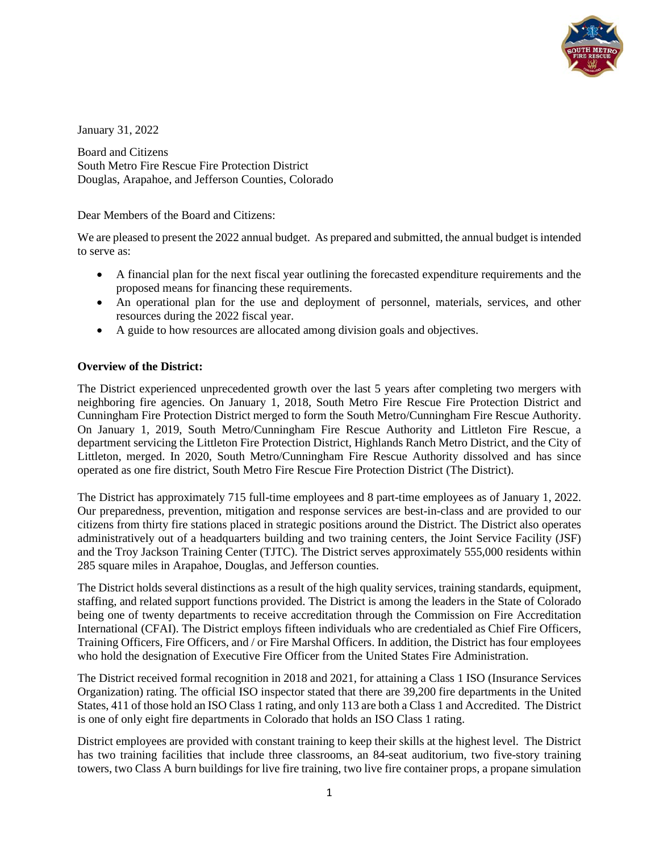

January 31, 2022

Board and Citizens South Metro Fire Rescue Fire Protection District Douglas, Arapahoe, and Jefferson Counties, Colorado

Dear Members of the Board and Citizens:

We are pleased to present the 2022 annual budget. As prepared and submitted, the annual budget is intended to serve as:

- A financial plan for the next fiscal year outlining the forecasted expenditure requirements and the proposed means for financing these requirements.
- An operational plan for the use and deployment of personnel, materials, services, and other resources during the 2022 fiscal year.
- A guide to how resources are allocated among division goals and objectives.

#### **Overview of the District:**

The District experienced unprecedented growth over the last 5 years after completing two mergers with neighboring fire agencies. On January 1, 2018, South Metro Fire Rescue Fire Protection District and Cunningham Fire Protection District merged to form the South Metro/Cunningham Fire Rescue Authority. On January 1, 2019, South Metro/Cunningham Fire Rescue Authority and Littleton Fire Rescue, a department servicing the Littleton Fire Protection District, Highlands Ranch Metro District, and the City of Littleton, merged. In 2020, South Metro/Cunningham Fire Rescue Authority dissolved and has since operated as one fire district, South Metro Fire Rescue Fire Protection District (The District).

The District has approximately 715 full-time employees and 8 part-time employees as of January 1, 2022. Our preparedness, prevention, mitigation and response services are best-in-class and are provided to our citizens from thirty fire stations placed in strategic positions around the District. The District also operates administratively out of a headquarters building and two training centers, the Joint Service Facility (JSF) and the Troy Jackson Training Center (TJTC). The District serves approximately 555,000 residents within 285 square miles in Arapahoe, Douglas, and Jefferson counties.

The District holds several distinctions as a result of the high quality services, training standards, equipment, staffing, and related support functions provided. The District is among the leaders in the State of Colorado being one of twenty departments to receive accreditation through the Commission on Fire Accreditation International (CFAI). The District employs fifteen individuals who are credentialed as Chief Fire Officers, Training Officers, Fire Officers, and / or Fire Marshal Officers. In addition, the District has four employees who hold the designation of Executive Fire Officer from the United States Fire Administration.

The District received formal recognition in 2018 and 2021, for attaining a Class 1 ISO (Insurance Services Organization) rating. The official ISO inspector stated that there are 39,200 fire departments in the United States, 411 of those hold an ISO Class 1 rating, and only 113 are both a Class 1 and Accredited. The District is one of only eight fire departments in Colorado that holds an ISO Class 1 rating.

District employees are provided with constant training to keep their skills at the highest level. The District has two training facilities that include three classrooms, an 84-seat auditorium, two five-story training towers, two Class A burn buildings for live fire training, two live fire container props, a propane simulation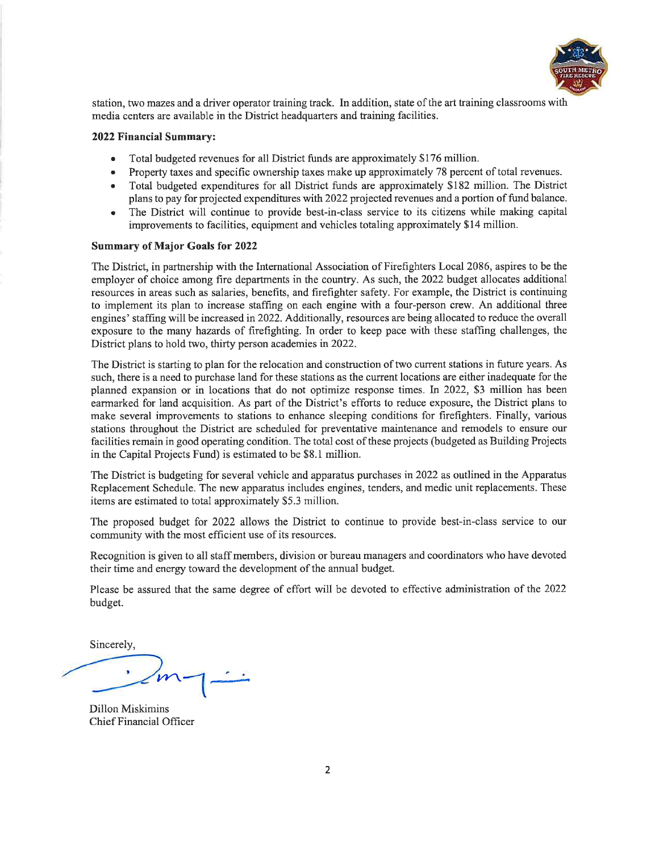

station, two mazes and a driver operator training track. In addition, state of the art training classrooms with media centers are available in the District headquarters and training facilities.

#### 2022 Financial Summary:

- Total budgeted revenues for all District funds are approximately \$176 million.
- Property taxes and specific ownership taxes make up approximately 78 percent of total revenues.
- Total budgeted expenditures for all District funds are approximately \$182 million. The District  $\bullet$ plans to pay for projected expenditures with 2022 projected revenues and a portion of fund balance.
- The District will continue to provide best-in-class service to its citizens while making capital ٠ improvements to facilities, equipment and vehicles totaling approximately \$14 million.

#### **Summary of Major Goals for 2022**

The District, in partnership with the International Association of Firefighters Local 2086, aspires to be the employer of choice among fire departments in the country. As such, the 2022 budget allocates additional resources in areas such as salaries, benefits, and firefighter safety. For example, the District is continuing to implement its plan to increase staffing on each engine with a four-person crew. An additional three engines' staffing will be increased in 2022. Additionally, resources are being allocated to reduce the overall exposure to the many hazards of firefighting. In order to keep pace with these staffing challenges, the District plans to hold two, thirty person academies in 2022.

The District is starting to plan for the relocation and construction of two current stations in future years. As such, there is a need to purchase land for these stations as the current locations are either inadequate for the planned expansion or in locations that do not optimize response times. In 2022, \$3 million has been earmarked for land acquisition. As part of the District's efforts to reduce exposure, the District plans to make several improvements to stations to enhance sleeping conditions for firefighters. Finally, various stations throughout the District are scheduled for preventative maintenance and remodels to ensure our facilities remain in good operating condition. The total cost of these projects (budgeted as Building Projects in the Capital Projects Fund) is estimated to be \$8.1 million.

The District is budgeting for several vehicle and apparatus purchases in 2022 as outlined in the Apparatus Replacement Schedule. The new apparatus includes engines, tenders, and medic unit replacements. These items are estimated to total approximately \$5.3 million.

The proposed budget for 2022 allows the District to continue to provide best-in-class service to our community with the most efficient use of its resources.

Recognition is given to all staff members, division or bureau managers and coordinators who have devoted their time and energy toward the development of the annual budget.

Please be assured that the same degree of effort will be devoted to effective administration of the 2022 budget.

Sincerely,

**Dillon Miskimins** Chief Financial Officer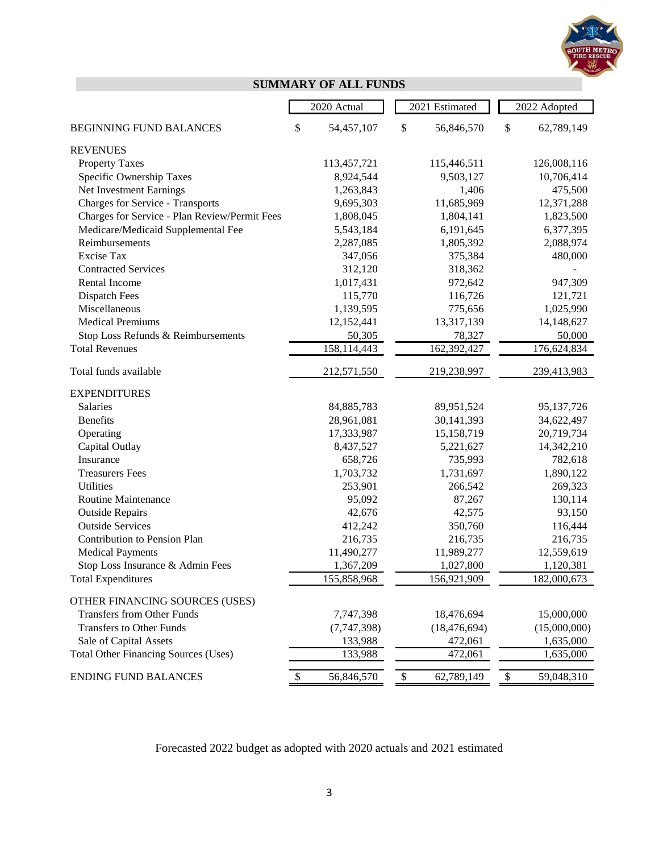

# **SUMMARY OF ALL FUNDS**

|                                               | 2020 Actual                |              | 2021 Estimated |      | 2022 Adopted |
|-----------------------------------------------|----------------------------|--------------|----------------|------|--------------|
| <b>BEGINNING FUND BALANCES</b>                | \$<br>54,457,107           | \$           | 56,846,570     | \$   | 62,789,149   |
| <b>REVENUES</b>                               |                            |              |                |      |              |
| <b>Property Taxes</b>                         | 113,457,721                |              | 115,446,511    |      | 126,008,116  |
| Specific Ownership Taxes                      | 8,924,544                  |              | 9,503,127      |      | 10,706,414   |
| Net Investment Earnings                       | 1,263,843                  |              | 1,406          |      | 475,500      |
| <b>Charges for Service - Transports</b>       | 9,695,303                  |              | 11,685,969     |      | 12,371,288   |
| Charges for Service - Plan Review/Permit Fees | 1,808,045                  |              | 1,804,141      |      | 1,823,500    |
| Medicare/Medicaid Supplemental Fee            | 5,543,184                  |              | 6,191,645      |      | 6,377,395    |
| Reimbursements                                | 2,287,085                  |              | 1,805,392      |      | 2,088,974    |
| Excise Tax                                    | 347,056                    |              | 375,384        |      | 480,000      |
| <b>Contracted Services</b>                    | 312,120                    |              | 318,362        |      |              |
| Rental Income                                 | 1,017,431                  |              | 972,642        |      | 947,309      |
| Dispatch Fees                                 | 115,770                    |              | 116,726        |      | 121,721      |
| Miscellaneous                                 | 1,139,595                  |              | 775,656        |      | 1,025,990    |
| <b>Medical Premiums</b>                       | 12,152,441                 |              | 13,317,139     |      | 14,148,627   |
| Stop Loss Refunds & Reimbursements            | 50,305                     |              | 78,327         |      | 50,000       |
| <b>Total Revenues</b>                         | $\overline{158, 114, 443}$ |              | 162,392,427    |      | 176,624,834  |
| Total funds available                         | 212,571,550                |              | 219,238,997    |      | 239,413,983  |
| <b>EXPENDITURES</b>                           |                            |              |                |      |              |
| Salaries                                      | 84,885,783                 |              | 89,951,524     |      | 95,137,726   |
| <b>Benefits</b>                               | 28,961,081                 |              | 30,141,393     |      | 34,622,497   |
| Operating                                     | 17,333,987                 |              | 15,158,719     |      | 20,719,734   |
| Capital Outlay                                | 8,437,527                  |              | 5,221,627      |      | 14,342,210   |
| Insurance                                     | 658,726                    |              | 735,993        |      | 782,618      |
| <b>Treasurers Fees</b>                        | 1,703,732                  |              | 1,731,697      |      | 1,890,122    |
| <b>Utilities</b>                              | 253,901                    |              | 266,542        |      | 269,323      |
| Routine Maintenance                           | 95,092                     |              | 87,267         |      | 130,114      |
| <b>Outside Repairs</b>                        | 42,676                     |              | 42,575         |      | 93,150       |
| <b>Outside Services</b>                       | 412,242                    |              | 350,760        |      | 116,444      |
| Contribution to Pension Plan                  | 216,735                    |              | 216,735        |      | 216,735      |
| <b>Medical Payments</b>                       | 11,490,277                 |              | 11,989,277     |      | 12,559,619   |
| Stop Loss Insurance & Admin Fees              | 1,367,209                  |              | 1,027,800      |      | 1,120,381    |
| <b>Total Expenditures</b>                     | 155,858,968                |              | 156,921,909    |      | 182,000,673  |
| OTHER FINANCING SOURCES (USES)                |                            |              |                |      |              |
| <b>Transfers from Other Funds</b>             | 7,747,398                  |              | 18,476,694     |      | 15,000,000   |
| <b>Transfers to Other Funds</b>               | (7,747,398)                |              | (18, 476, 694) |      | (15,000,000) |
| Sale of Capital Assets                        | 133,988                    |              | 472,061        |      | 1,635,000    |
| <b>Total Other Financing Sources (Uses)</b>   | 133,988                    |              | 472,061        |      | 1,635,000    |
| <b>ENDING FUND BALANCES</b>                   | \$<br>56,846,570           | $\mathbb{S}$ | 62,789,149     | $\$$ | 59,048,310   |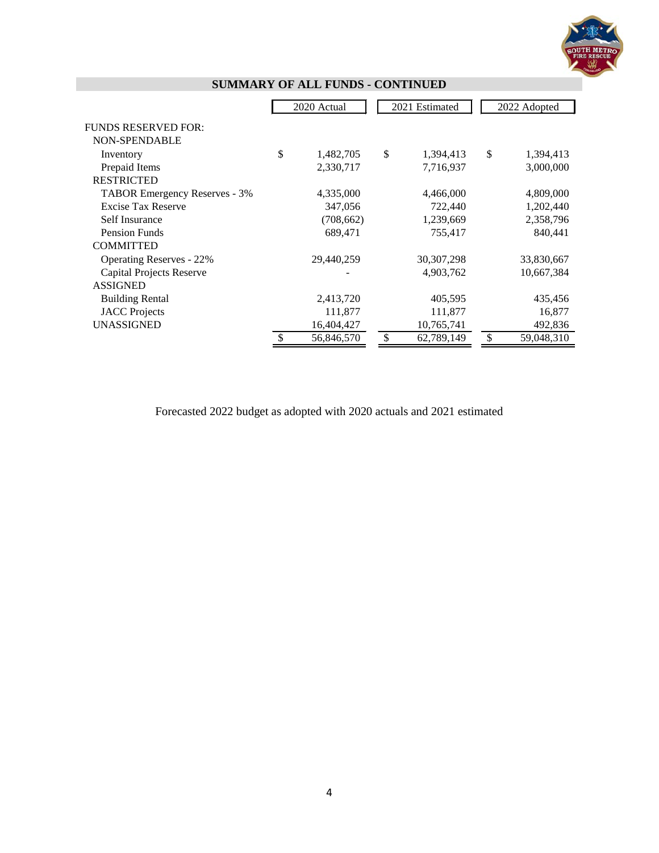

|                                 | 2020 Actual      | 2021 Estimated   | 2022 Adopted     |
|---------------------------------|------------------|------------------|------------------|
| <b>FUNDS RESERVED FOR:</b>      |                  |                  |                  |
| <b>NON-SPENDABLE</b>            |                  |                  |                  |
| Inventory                       | \$<br>1,482,705  | \$<br>1,394,413  | \$<br>1,394,413  |
| Prepaid Items                   | 2,330,717        | 7,716,937        | 3,000,000        |
| <b>RESTRICTED</b>               |                  |                  |                  |
| TABOR Emergency Reserves - 3%   | 4,335,000        | 4,466,000        | 4,809,000        |
| <b>Excise Tax Reserve</b>       | 347,056          | 722,440          | 1,202,440        |
| Self Insurance                  | (708, 662)       | 1,239,669        | 2,358,796        |
| <b>Pension Funds</b>            | 689,471          | 755,417          | 840,441          |
| <b>COMMITTED</b>                |                  |                  |                  |
| <b>Operating Reserves - 22%</b> | 29,440,259       | 30, 307, 298     | 33,830,667       |
| <b>Capital Projects Reserve</b> |                  | 4,903,762        | 10,667,384       |
| <b>ASSIGNED</b>                 |                  |                  |                  |
| <b>Building Rental</b>          | 2,413,720        | 405,595          | 435,456          |
| <b>JACC</b> Projects            | 111,877          | 111,877          | 16,877           |
| <b>UNASSIGNED</b>               | 16,404,427       | 10,765,741       | 492,836          |
|                                 | \$<br>56,846,570 | \$<br>62,789,149 | \$<br>59,048,310 |

# **SUMMARY OF ALL FUNDS - CONTINUED**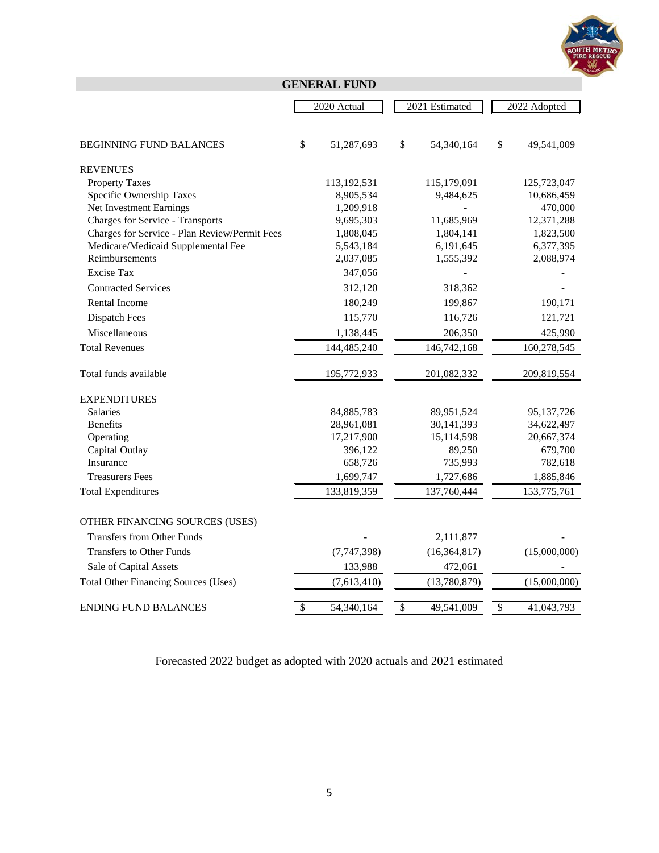

# **GENERAL FUND**

|                                               | 2020 Actual      | 2021 Estimated   | 2022 Adopted     |
|-----------------------------------------------|------------------|------------------|------------------|
|                                               |                  |                  |                  |
| <b>BEGINNING FUND BALANCES</b>                | \$<br>51,287,693 | \$<br>54,340,164 | \$<br>49,541,009 |
|                                               |                  |                  |                  |
| <b>REVENUES</b><br><b>Property Taxes</b>      | 113,192,531      | 115,179,091      | 125,723,047      |
| Specific Ownership Taxes                      | 8,905,534        | 9,484,625        | 10,686,459       |
| Net Investment Earnings                       | 1,209,918        |                  | 470,000          |
| <b>Charges for Service - Transports</b>       | 9,695,303        | 11,685,969       | 12,371,288       |
| Charges for Service - Plan Review/Permit Fees | 1,808,045        | 1,804,141        | 1,823,500        |
| Medicare/Medicaid Supplemental Fee            | 5,543,184        | 6,191,645        | 6,377,395        |
| Reimbursements                                | 2,037,085        | 1,555,392        | 2,088,974        |
| <b>Excise Tax</b>                             | 347,056          |                  |                  |
| <b>Contracted Services</b>                    | 312,120          | 318,362          |                  |
| <b>Rental Income</b>                          | 180,249          | 199,867          | 190,171          |
| <b>Dispatch Fees</b>                          | 115,770          | 116,726          | 121,721          |
| Miscellaneous                                 | 1,138,445        | 206,350          | 425,990          |
| <b>Total Revenues</b>                         | 144,485,240      | 146,742,168      | 160,278,545      |
| Total funds available                         | 195,772,933      | 201,082,332      | 209,819,554      |
| <b>EXPENDITURES</b>                           |                  |                  |                  |
| <b>Salaries</b>                               | 84, 885, 783     | 89,951,524       | 95,137,726       |
| <b>Benefits</b>                               | 28,961,081       | 30,141,393       | 34,622,497       |
| Operating                                     | 17,217,900       | 15,114,598       | 20,667,374       |
| Capital Outlay                                | 396,122          | 89,250           | 679,700          |
| <b>Insurance</b>                              | 658,726          | 735,993          | 782,618          |
| <b>Treasurers Fees</b>                        | 1,699,747        | 1,727,686        | 1,885,846        |
| <b>Total Expenditures</b>                     | 133,819,359      | 137,760,444      | 153,775,761      |
| OTHER FINANCING SOURCES (USES)                |                  |                  |                  |
| <b>Transfers from Other Funds</b>             |                  | 2,111,877        |                  |
| <b>Transfers to Other Funds</b>               | (7,747,398)      | (16, 364, 817)   | (15,000,000)     |
| Sale of Capital Assets                        | 133,988          | 472,061          |                  |
| <b>Total Other Financing Sources (Uses)</b>   | (7,613,410)      | (13,780,879)     | (15,000,000)     |
| <b>ENDING FUND BALANCES</b>                   | \$<br>54,340,164 | \$<br>49,541,009 | \$<br>41,043,793 |
|                                               |                  |                  |                  |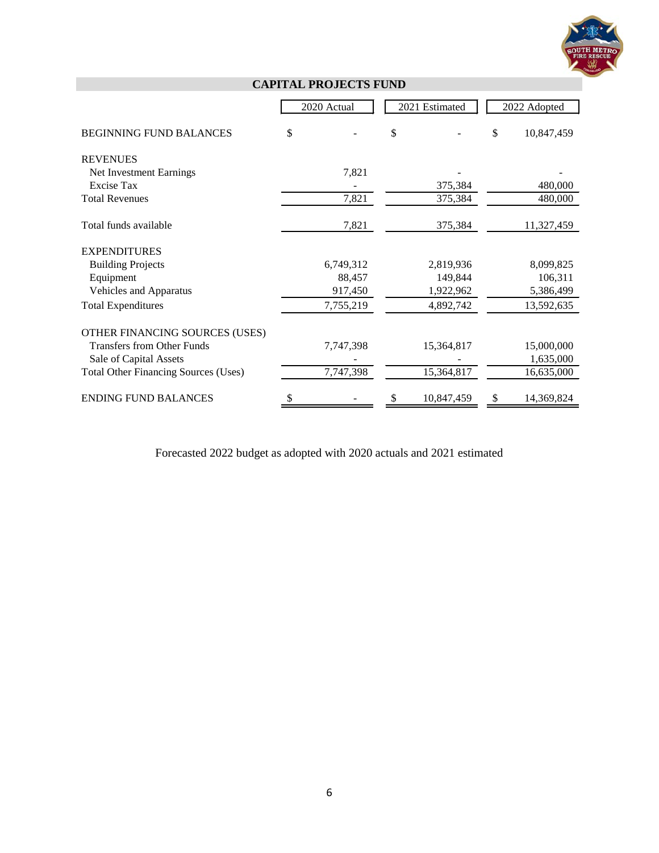

|                                             | 2020 Actual | 2021 Estimated | 2022 Adopted     |
|---------------------------------------------|-------------|----------------|------------------|
| <b>BEGINNING FUND BALANCES</b>              | \$          | \$             | \$<br>10,847,459 |
|                                             |             |                |                  |
| <b>REVENUES</b>                             |             |                |                  |
| Net Investment Earnings                     | 7,821       |                |                  |
| Excise Tax                                  |             | 375,384        | 480,000          |
| <b>Total Revenues</b>                       | 7,821       | 375,384        | 480,000          |
| Total funds available                       | 7,821       | 375,384        | 11,327,459       |
| <b>EXPENDITURES</b>                         |             |                |                  |
| <b>Building Projects</b>                    | 6,749,312   | 2,819,936      | 8,099,825        |
| Equipment                                   | 88,457      | 149,844        | 106,311          |
| Vehicles and Apparatus                      | 917,450     | 1,922,962      | 5,386,499        |
| <b>Total Expenditures</b>                   | 7,755,219   | 4,892,742      | 13,592,635       |
| OTHER FINANCING SOURCES (USES)              |             |                |                  |
| <b>Transfers from Other Funds</b>           | 7,747,398   | 15,364,817     | 15,000,000       |
| Sale of Capital Assets                      |             |                | 1,635,000        |
| <b>Total Other Financing Sources (Uses)</b> | 7,747,398   | 15,364,817     | 16,635,000       |
|                                             |             |                |                  |
| <b>ENDING FUND BALANCES</b>                 | \$          | 10,847,459     | \$<br>14,369,824 |

**CAPITAL PROJECTS FUND**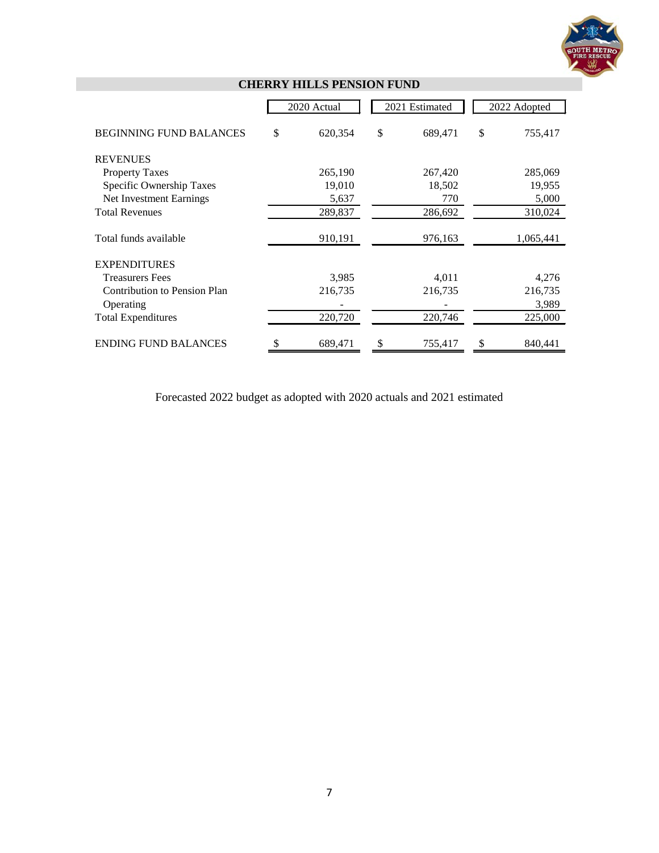

|                                     | 2020 Actual   | 2021 Estimated | 2022 Adopted  |
|-------------------------------------|---------------|----------------|---------------|
| <b>BEGINNING FUND BALANCES</b>      | \$<br>620,354 | \$<br>689,471  | \$<br>755,417 |
| <b>REVENUES</b>                     |               |                |               |
| <b>Property Taxes</b>               | 265,190       | 267,420        | 285,069       |
| Specific Ownership Taxes            | 19,010        | 18,502         | 19,955        |
| Net Investment Earnings             | 5,637         | 770            | 5,000         |
| <b>Total Revenues</b>               | 289,837       | 286,692        | 310,024       |
| Total funds available               | 910,191       | 976,163        | 1,065,441     |
| <b>EXPENDITURES</b>                 |               |                |               |
| <b>Treasurers Fees</b>              | 3,985         | 4,011          | 4,276         |
| <b>Contribution to Pension Plan</b> | 216,735       | 216,735        | 216,735       |
| Operating                           |               |                | 3,989         |
| <b>Total Expenditures</b>           | 220,720       | 220,746        | 225,000       |
| <b>ENDING FUND BALANCES</b>         | \$<br>689,471 | \$<br>755,417  | \$<br>840,441 |

# **CHERRY HILLS PENSION FUND**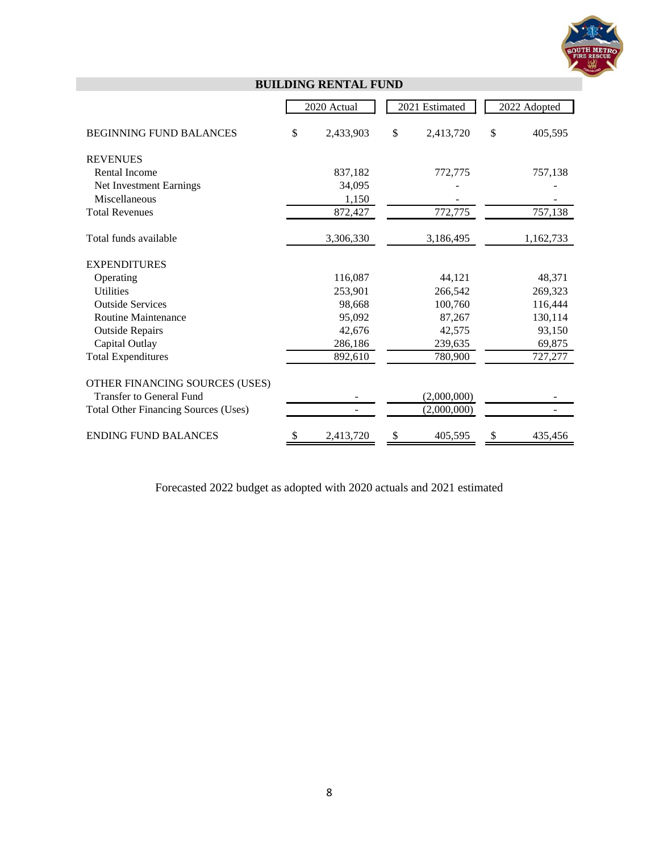

|                                             | 2020 Actual     |    | 2021 Estimated | 2022 Adopted  |
|---------------------------------------------|-----------------|----|----------------|---------------|
| <b>BEGINNING FUND BALANCES</b>              | \$<br>2,433,903 | \$ | 2,413,720      | \$<br>405,595 |
| <b>REVENUES</b>                             |                 |    |                |               |
| <b>Rental Income</b>                        | 837,182         |    | 772,775        | 757,138       |
| Net Investment Earnings                     | 34,095          |    |                |               |
| Miscellaneous                               | 1,150           |    |                |               |
| <b>Total Revenues</b>                       | 872,427         |    | 772,775        | 757,138       |
| Total funds available                       | 3,306,330       |    | 3,186,495      | 1,162,733     |
| <b>EXPENDITURES</b>                         |                 |    |                |               |
| Operating                                   | 116,087         |    | 44,121         | 48,371        |
| <b>Utilities</b>                            | 253,901         |    | 266,542        | 269,323       |
| <b>Outside Services</b>                     | 98,668          |    | 100,760        | 116,444       |
| Routine Maintenance                         | 95,092          |    | 87,267         | 130,114       |
| <b>Outside Repairs</b>                      | 42,676          |    | 42,575         | 93,150        |
| Capital Outlay                              | 286,186         |    | 239,635        | 69,875        |
| <b>Total Expenditures</b>                   | 892,610         |    | 780,900        | 727,277       |
| OTHER FINANCING SOURCES (USES)              |                 |    |                |               |
| <b>Transfer to General Fund</b>             |                 |    | (2,000,000)    |               |
| <b>Total Other Financing Sources (Uses)</b> |                 |    | (2,000,000)    |               |
| <b>ENDING FUND BALANCES</b>                 | 2,413,720       | S  | 405,595        | 435,456       |

**BUILDING RENTAL FUND**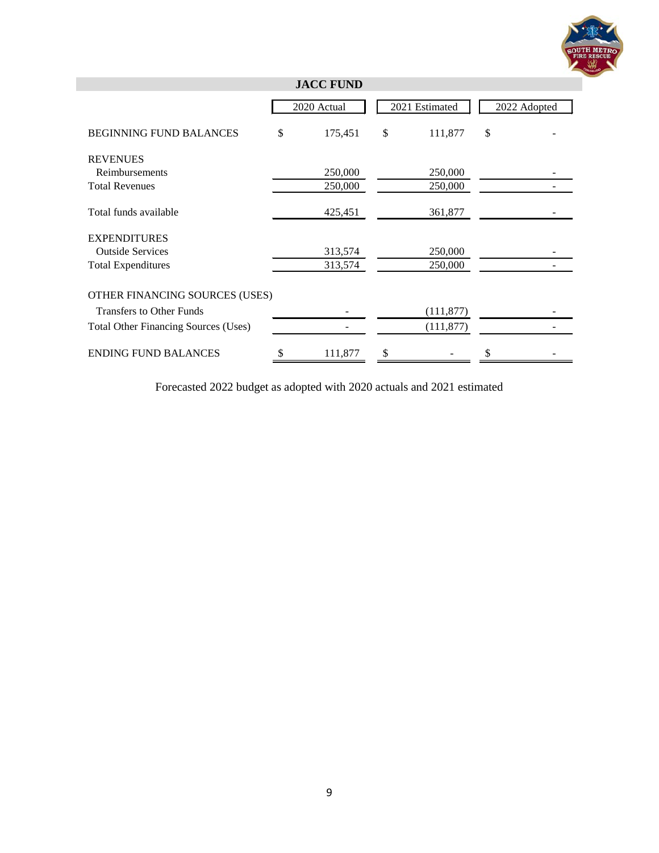

| <b>JACC FUND</b>                            |    |             |    |                |    |              |  |  |
|---------------------------------------------|----|-------------|----|----------------|----|--------------|--|--|
|                                             |    | 2020 Actual |    | 2021 Estimated |    | 2022 Adopted |  |  |
| <b>BEGINNING FUND BALANCES</b>              | \$ | 175,451     | \$ | 111,877        | \$ |              |  |  |
| <b>REVENUES</b>                             |    |             |    |                |    |              |  |  |
| Reimbursements                              |    | 250,000     |    | 250,000        |    |              |  |  |
| <b>Total Revenues</b>                       |    | 250,000     |    | 250,000        |    |              |  |  |
| Total funds available                       |    | 425,451     |    | 361,877        |    |              |  |  |
| <b>EXPENDITURES</b>                         |    |             |    |                |    |              |  |  |
| <b>Outside Services</b>                     |    | 313,574     |    | 250,000        |    |              |  |  |
| <b>Total Expenditures</b>                   |    | 313,574     |    | 250,000        |    |              |  |  |
| OTHER FINANCING SOURCES (USES)              |    |             |    |                |    |              |  |  |
| <b>Transfers to Other Funds</b>             |    |             |    | (111, 877)     |    |              |  |  |
| <b>Total Other Financing Sources (Uses)</b> |    |             |    | (111, 877)     |    |              |  |  |
| <b>ENDING FUND BALANCES</b>                 |    | 111,877     | \$ |                |    |              |  |  |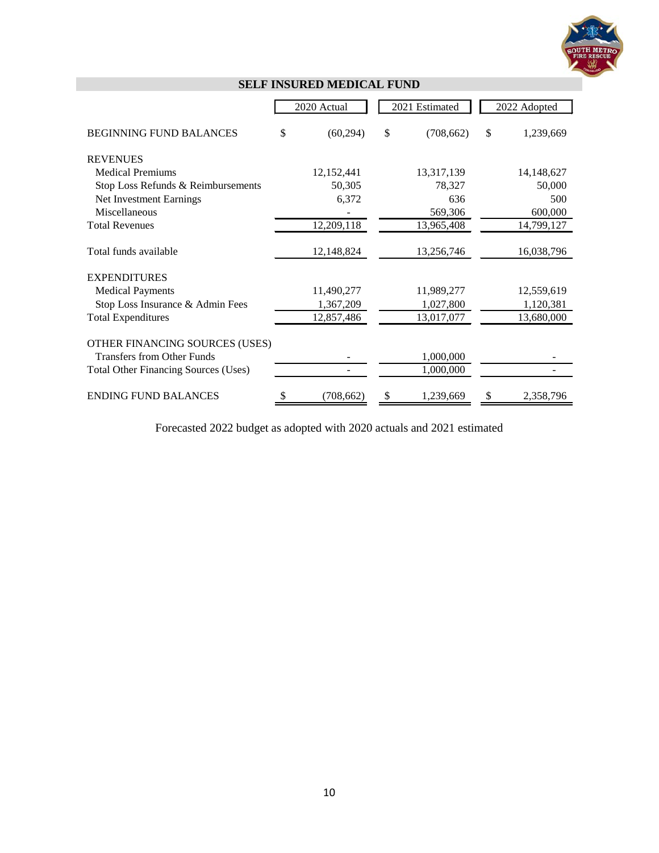

|                                             | 2020 Actual     | 2021 Estimated   |    | 2022 Adopted |
|---------------------------------------------|-----------------|------------------|----|--------------|
| <b>BEGINNING FUND BALANCES</b>              | \$<br>(60, 294) | \$<br>(708, 662) | \$ | 1,239,669    |
| <b>REVENUES</b>                             |                 |                  |    |              |
| <b>Medical Premiums</b>                     | 12,152,441      | 13,317,139       |    | 14,148,627   |
| Stop Loss Refunds & Reimbursements          | 50,305          | 78,327           |    | 50,000       |
| Net Investment Earnings                     | 6,372           | 636              |    | 500          |
| Miscellaneous                               |                 | 569,306          |    | 600,000      |
| <b>Total Revenues</b>                       | 12,209,118      | 13,965,408       |    | 14,799,127   |
| Total funds available                       | 12,148,824      | 13,256,746       |    | 16,038,796   |
| <b>EXPENDITURES</b>                         |                 |                  |    |              |
| <b>Medical Payments</b>                     | 11,490,277      | 11,989,277       |    | 12,559,619   |
| Stop Loss Insurance & Admin Fees            | 1,367,209       | 1,027,800        |    | 1,120,381    |
| <b>Total Expenditures</b>                   | 12,857,486      | 13,017,077       |    | 13,680,000   |
| OTHER FINANCING SOURCES (USES)              |                 |                  |    |              |
| <b>Transfers from Other Funds</b>           |                 | 1,000,000        |    |              |
| <b>Total Other Financing Sources (Uses)</b> |                 | 1,000,000        |    |              |
| <b>ENDING FUND BALANCES</b>                 | \$<br>(708,662) | \$<br>1,239,669  | S  | 2,358,796    |

# **SELF INSURED MEDICAL FUND**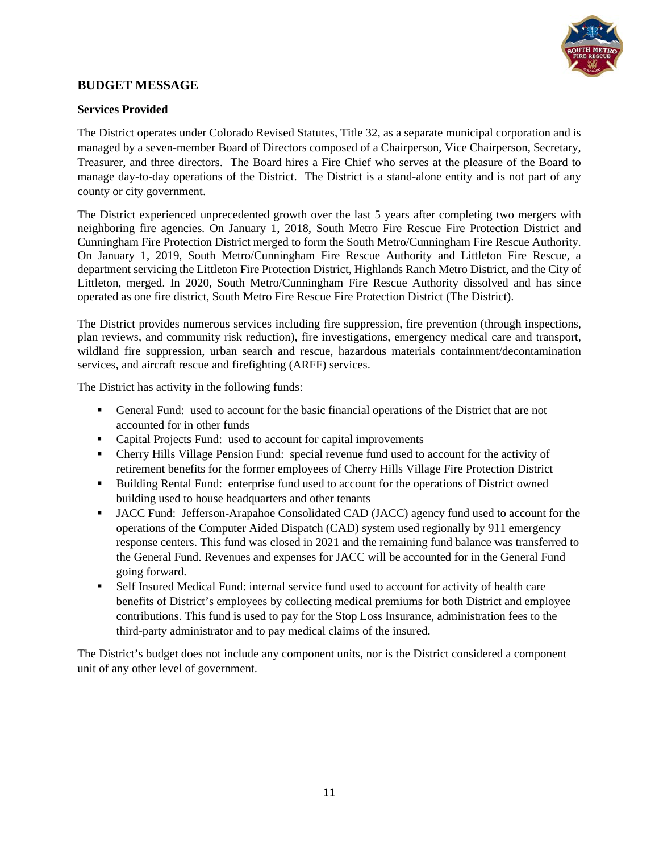

## **BUDGET MESSAGE**

#### **Services Provided**

The District operates under Colorado Revised Statutes, Title 32, as a separate municipal corporation and is managed by a seven-member Board of Directors composed of a Chairperson, Vice Chairperson, Secretary, Treasurer, and three directors. The Board hires a Fire Chief who serves at the pleasure of the Board to manage day-to-day operations of the District. The District is a stand-alone entity and is not part of any county or city government.

The District experienced unprecedented growth over the last 5 years after completing two mergers with neighboring fire agencies. On January 1, 2018, South Metro Fire Rescue Fire Protection District and Cunningham Fire Protection District merged to form the South Metro/Cunningham Fire Rescue Authority. On January 1, 2019, South Metro/Cunningham Fire Rescue Authority and Littleton Fire Rescue, a department servicing the Littleton Fire Protection District, Highlands Ranch Metro District, and the City of Littleton, merged. In 2020, South Metro/Cunningham Fire Rescue Authority dissolved and has since operated as one fire district, South Metro Fire Rescue Fire Protection District (The District).

The District provides numerous services including fire suppression, fire prevention (through inspections, plan reviews, and community risk reduction), fire investigations, emergency medical care and transport, wildland fire suppression, urban search and rescue, hazardous materials containment/decontamination services, and aircraft rescue and firefighting (ARFF) services.

The District has activity in the following funds:

- General Fund: used to account for the basic financial operations of the District that are not accounted for in other funds
- Capital Projects Fund: used to account for capital improvements
- Cherry Hills Village Pension Fund: special revenue fund used to account for the activity of retirement benefits for the former employees of Cherry Hills Village Fire Protection District
- Building Rental Fund: enterprise fund used to account for the operations of District owned building used to house headquarters and other tenants
- JACC Fund: Jefferson-Arapahoe Consolidated CAD (JACC) agency fund used to account for the operations of the Computer Aided Dispatch (CAD) system used regionally by 911 emergency response centers. This fund was closed in 2021 and the remaining fund balance was transferred to the General Fund. Revenues and expenses for JACC will be accounted for in the General Fund going forward.
- Self Insured Medical Fund: internal service fund used to account for activity of health care benefits of District's employees by collecting medical premiums for both District and employee contributions. This fund is used to pay for the Stop Loss Insurance, administration fees to the third-party administrator and to pay medical claims of the insured.

The District's budget does not include any component units, nor is the District considered a component unit of any other level of government.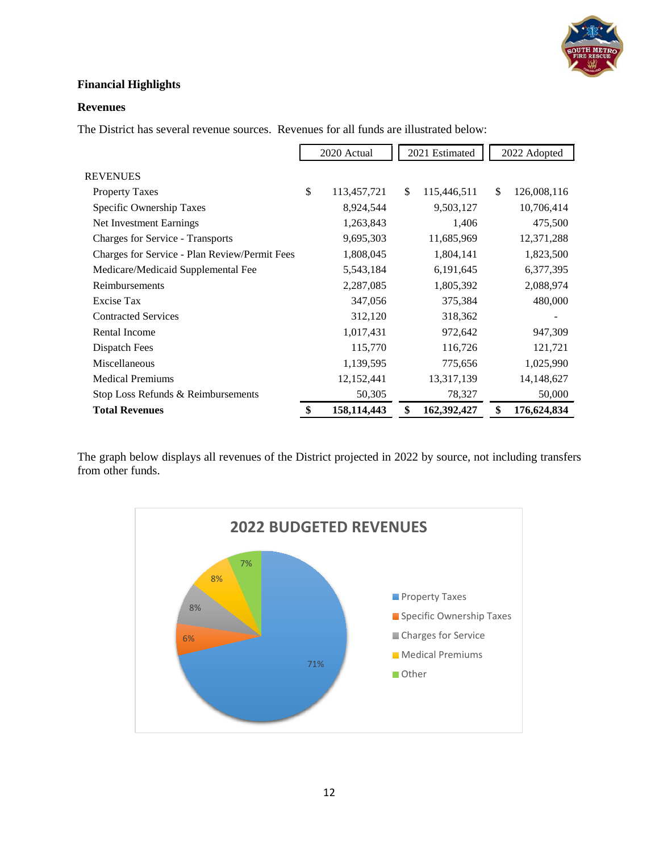

# **Financial Highlights**

### **Revenues**

The District has several revenue sources. Revenues for all funds are illustrated below:

|                                               | 2020 Actual |               | 2021 Estimated    |    | 2022 Adopted |
|-----------------------------------------------|-------------|---------------|-------------------|----|--------------|
| REVENUES                                      |             |               |                   |    |              |
| <b>Property Taxes</b>                         | \$          | 113,457,721   | \$<br>115,446,511 | \$ | 126,008,116  |
| Specific Ownership Taxes                      |             | 8,924,544     | 9,503,127         |    | 10,706,414   |
| Net Investment Earnings                       |             | 1,263,843     | 1,406             |    | 475,500      |
| <b>Charges for Service - Transports</b>       |             | 9,695,303     | 11,685,969        |    | 12,371,288   |
| Charges for Service - Plan Review/Permit Fees |             | 1,808,045     | 1,804,141         |    | 1,823,500    |
| Medicare/Medicaid Supplemental Fee            |             | 5,543,184     | 6,191,645         |    | 6,377,395    |
| Reimbursements                                |             | 2,287,085     | 1,805,392         |    | 2,088,974    |
| Excise Tax                                    |             | 347,056       | 375,384           |    | 480,000      |
| <b>Contracted Services</b>                    |             | 312,120       | 318,362           |    |              |
| <b>Rental Income</b>                          |             | 1,017,431     | 972,642           |    | 947,309      |
| Dispatch Fees                                 |             | 115,770       | 116,726           |    | 121,721      |
| Miscellaneous                                 |             | 1,139,595     | 775,656           |    | 1,025,990    |
| <b>Medical Premiums</b>                       |             | 12,152,441    | 13,317,139        |    | 14,148,627   |
| Stop Loss Refunds & Reimbursements            |             | 50,305        | 78,327            |    | 50,000       |
| <b>Total Revenues</b>                         | \$          | 158, 114, 443 | \$<br>162,392,427 | \$ | 176,624,834  |

The graph below displays all revenues of the District projected in 2022 by source, not including transfers from other funds.

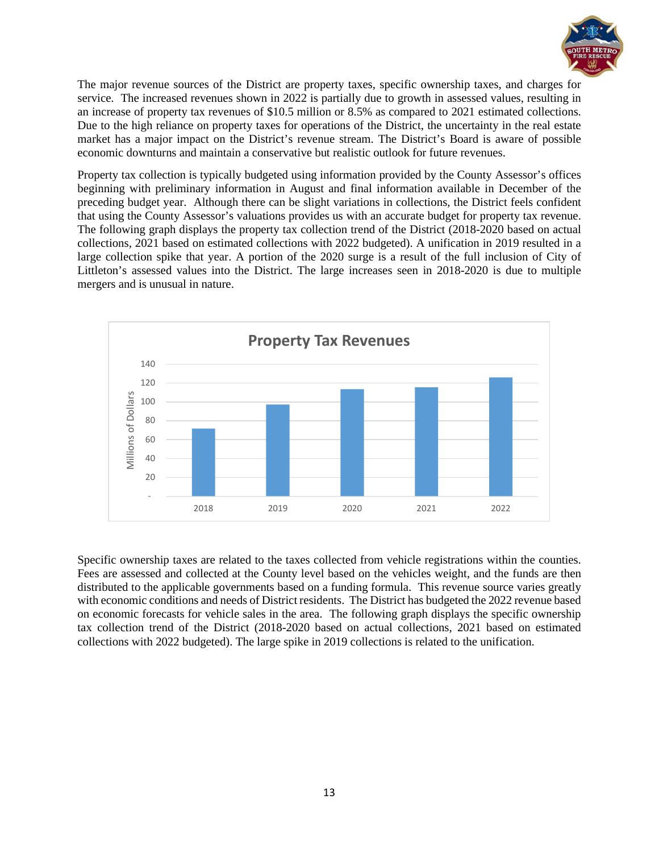

The major revenue sources of the District are property taxes, specific ownership taxes, and charges for service. The increased revenues shown in 2022 is partially due to growth in assessed values, resulting in an increase of property tax revenues of \$10.5 million or 8.5% as compared to 2021 estimated collections. Due to the high reliance on property taxes for operations of the District, the uncertainty in the real estate market has a major impact on the District's revenue stream. The District's Board is aware of possible economic downturns and maintain a conservative but realistic outlook for future revenues.

Property tax collection is typically budgeted using information provided by the County Assessor's offices beginning with preliminary information in August and final information available in December of the preceding budget year. Although there can be slight variations in collections, the District feels confident that using the County Assessor's valuations provides us with an accurate budget for property tax revenue. The following graph displays the property tax collection trend of the District (2018-2020 based on actual collections, 2021 based on estimated collections with 2022 budgeted). A unification in 2019 resulted in a large collection spike that year. A portion of the 2020 surge is a result of the full inclusion of City of Littleton's assessed values into the District. The large increases seen in 2018-2020 is due to multiple mergers and is unusual in nature.



Specific ownership taxes are related to the taxes collected from vehicle registrations within the counties. Fees are assessed and collected at the County level based on the vehicles weight, and the funds are then distributed to the applicable governments based on a funding formula. This revenue source varies greatly with economic conditions and needs of District residents. The District has budgeted the 2022 revenue based on economic forecasts for vehicle sales in the area. The following graph displays the specific ownership tax collection trend of the District (2018-2020 based on actual collections, 2021 based on estimated collections with 2022 budgeted). The large spike in 2019 collections is related to the unification.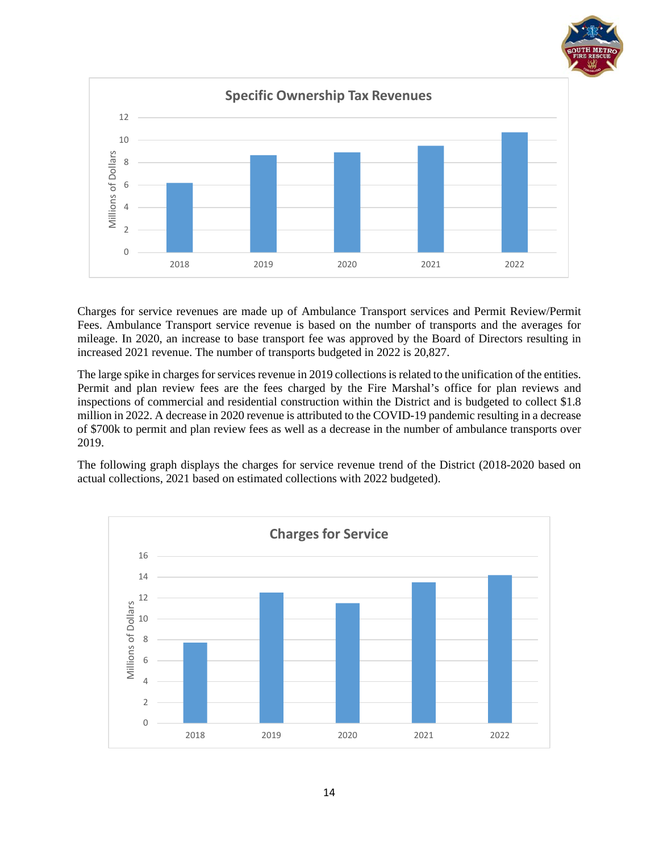

Charges for service revenues are made up of Ambulance Transport services and Permit Review/Permit Fees. Ambulance Transport service revenue is based on the number of transports and the averages for mileage. In 2020, an increase to base transport fee was approved by the Board of Directors resulting in increased 2021 revenue. The number of transports budgeted in 2022 is 20,827.

The large spike in charges for services revenue in 2019 collections is related to the unification of the entities. Permit and plan review fees are the fees charged by the Fire Marshal's office for plan reviews and inspections of commercial and residential construction within the District and is budgeted to collect \$1.8 million in 2022. A decrease in 2020 revenue is attributed to the COVID-19 pandemic resulting in a decrease of \$700k to permit and plan review fees as well as a decrease in the number of ambulance transports over 2019.

The following graph displays the charges for service revenue trend of the District (2018-2020 based on actual collections, 2021 based on estimated collections with 2022 budgeted).

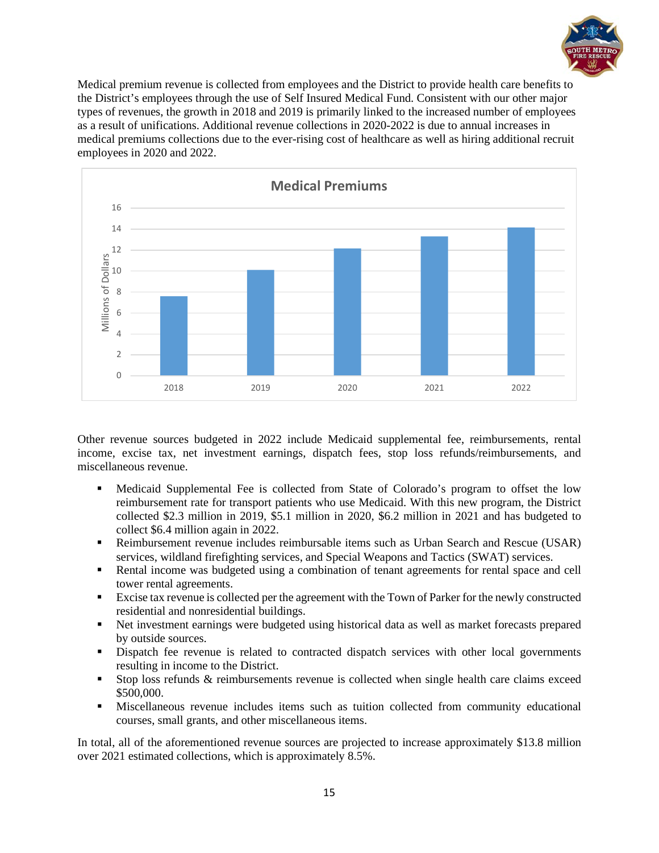

Medical premium revenue is collected from employees and the District to provide health care benefits to the District's employees through the use of Self Insured Medical Fund. Consistent with our other major types of revenues, the growth in 2018 and 2019 is primarily linked to the increased number of employees as a result of unifications. Additional revenue collections in 2020-2022 is due to annual increases in medical premiums collections due to the ever-rising cost of healthcare as well as hiring additional recruit employees in 2020 and 2022.



Other revenue sources budgeted in 2022 include Medicaid supplemental fee, reimbursements, rental income, excise tax, net investment earnings, dispatch fees, stop loss refunds/reimbursements, and miscellaneous revenue.

- Medicaid Supplemental Fee is collected from State of Colorado's program to offset the low reimbursement rate for transport patients who use Medicaid. With this new program, the District collected \$2.3 million in 2019, \$5.1 million in 2020, \$6.2 million in 2021 and has budgeted to collect \$6.4 million again in 2022.
- Reimbursement revenue includes reimbursable items such as Urban Search and Rescue (USAR) services, wildland firefighting services, and Special Weapons and Tactics (SWAT) services.
- Rental income was budgeted using a combination of tenant agreements for rental space and cell tower rental agreements.
- **Excise tax revenue is collected per the agreement with the Town of Parker for the newly constructed** residential and nonresidential buildings.
- Net investment earnings were budgeted using historical data as well as market forecasts prepared by outside sources.
- Dispatch fee revenue is related to contracted dispatch services with other local governments resulting in income to the District.
- Stop loss refunds & reimbursements revenue is collected when single health care claims exceed \$500,000.
- Miscellaneous revenue includes items such as tuition collected from community educational courses, small grants, and other miscellaneous items.

In total, all of the aforementioned revenue sources are projected to increase approximately \$13.8 million over 2021 estimated collections, which is approximately 8.5%.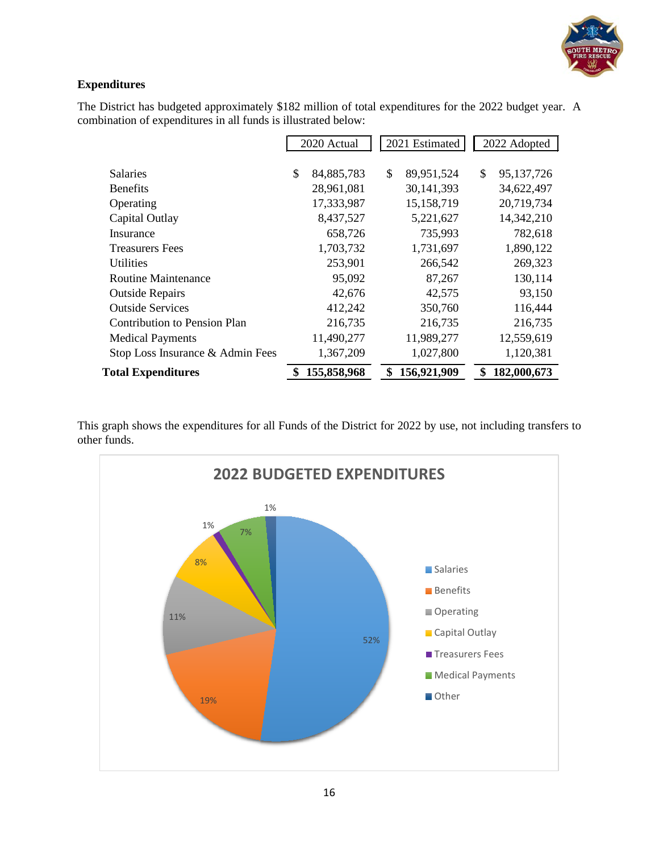

# **Expenditures**

The District has budgeted approximately \$182 million of total expenditures for the 2022 budget year. A combination of expenditures in all funds is illustrated below:

|                                  | 2020 Actual      | 2021 Estimated   | 2022 Adopted     |
|----------------------------------|------------------|------------------|------------------|
|                                  |                  |                  |                  |
| <b>Salaries</b>                  | \$<br>84,885,783 | \$<br>89,951,524 | \$<br>95,137,726 |
| <b>Benefits</b>                  | 28,961,081       | 30,141,393       | 34,622,497       |
| Operating                        | 17,333,987       | 15,158,719       | 20,719,734       |
| Capital Outlay                   | 8,437,527        | 5,221,627        | 14,342,210       |
| Insurance                        | 658,726          | 735,993          | 782,618          |
| <b>Treasurers Fees</b>           | 1,703,732        | 1,731,697        | 1,890,122        |
| Utilities                        | 253,901          | 266,542          | 269,323          |
| Routine Maintenance              | 95,092           | 87,267           | 130,114          |
| <b>Outside Repairs</b>           | 42,676           | 42,575           | 93,150           |
| <b>Outside Services</b>          | 412,242          | 350,760          | 116,444          |
| Contribution to Pension Plan     | 216,735          | 216,735          | 216,735          |
| <b>Medical Payments</b>          | 11,490,277       | 11,989,277       | 12,559,619       |
| Stop Loss Insurance & Admin Fees | 1,367,209        | 1,027,800        | 1,120,381        |
| <b>Total Expenditures</b>        | 155,858,968      | 156,921,909      | 182,000,673      |

This graph shows the expenditures for all Funds of the District for 2022 by use, not including transfers to other funds.

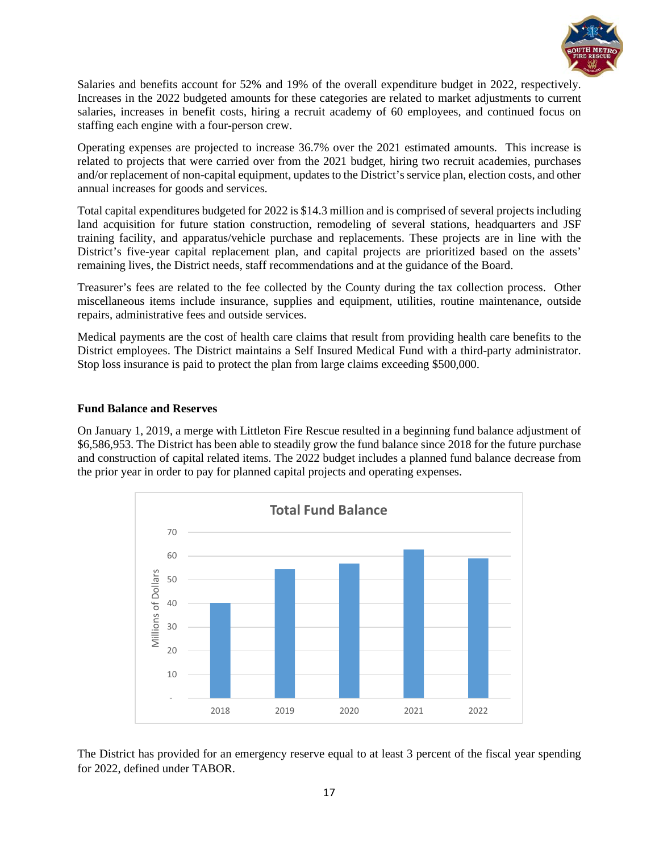

Salaries and benefits account for 52% and 19% of the overall expenditure budget in 2022, respectively. Increases in the 2022 budgeted amounts for these categories are related to market adjustments to current salaries, increases in benefit costs, hiring a recruit academy of 60 employees, and continued focus on staffing each engine with a four-person crew.

Operating expenses are projected to increase 36.7% over the 2021 estimated amounts. This increase is related to projects that were carried over from the 2021 budget, hiring two recruit academies, purchases and/or replacement of non-capital equipment, updates to the District's service plan, election costs, and other annual increases for goods and services.

Total capital expenditures budgeted for 2022 is \$14.3 million and is comprised of several projects including land acquisition for future station construction, remodeling of several stations, headquarters and JSF training facility, and apparatus/vehicle purchase and replacements. These projects are in line with the District's five-year capital replacement plan, and capital projects are prioritized based on the assets' remaining lives, the District needs, staff recommendations and at the guidance of the Board.

Treasurer's fees are related to the fee collected by the County during the tax collection process. Other miscellaneous items include insurance, supplies and equipment, utilities, routine maintenance, outside repairs, administrative fees and outside services.

Medical payments are the cost of health care claims that result from providing health care benefits to the District employees. The District maintains a Self Insured Medical Fund with a third-party administrator. Stop loss insurance is paid to protect the plan from large claims exceeding \$500,000.

#### **Fund Balance and Reserves**

On January 1, 2019, a merge with Littleton Fire Rescue resulted in a beginning fund balance adjustment of \$6,586,953. The District has been able to steadily grow the fund balance since 2018 for the future purchase and construction of capital related items. The 2022 budget includes a planned fund balance decrease from the prior year in order to pay for planned capital projects and operating expenses.



The District has provided for an emergency reserve equal to at least 3 percent of the fiscal year spending for 2022, defined under TABOR.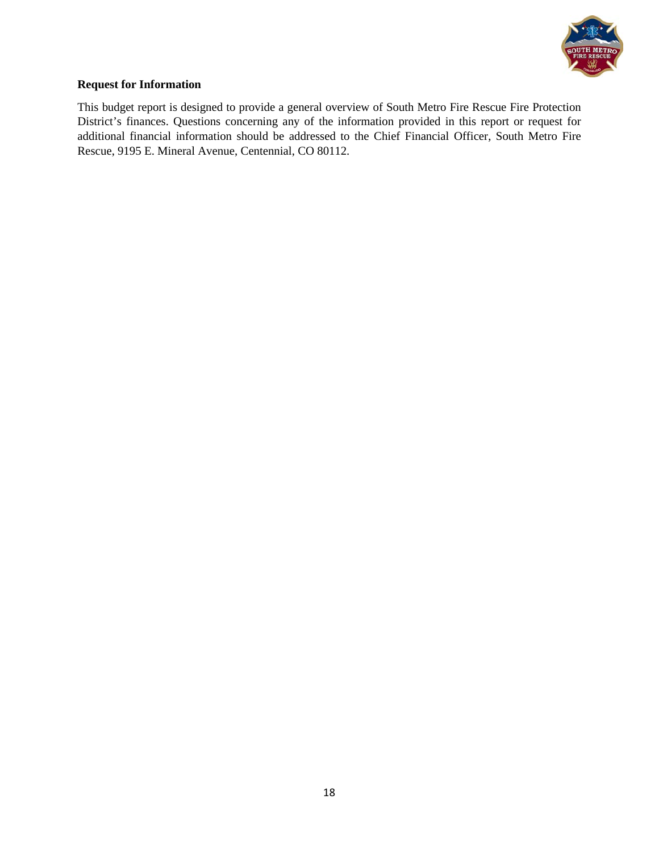

#### **Request for Information**

This budget report is designed to provide a general overview of South Metro Fire Rescue Fire Protection District's finances. Questions concerning any of the information provided in this report or request for additional financial information should be addressed to the Chief Financial Officer, South Metro Fire Rescue, 9195 E. Mineral Avenue, Centennial, CO 80112.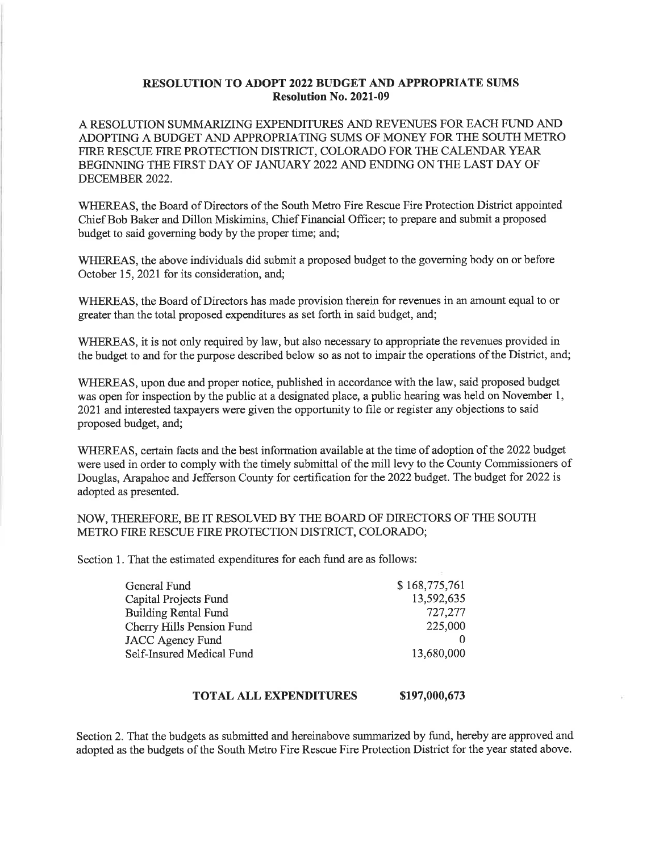#### **RESOLUTION TO ADOPT 2022 BUDGET AND APPROPRIATE SUMS Resolution No. 2021-09**

A RESOLUTION SUMMARIZING EXPENDITURES AND REVENUES FOR EACH FUND AND ADOPTING A BUDGET AND APPROPRIATING SUMS OF MONEY FOR THE SOUTH METRO FIRE RESCUE FIRE PROTECTION DISTRICT. COLORADO FOR THE CALENDAR YEAR BEGINNING THE FIRST DAY OF JANUARY 2022 AND ENDING ON THE LAST DAY OF DECEMBER 2022.

WHEREAS, the Board of Directors of the South Metro Fire Rescue Fire Protection District appointed Chief Bob Baker and Dillon Miskimins, Chief Financial Officer; to prepare and submit a proposed budget to said governing body by the proper time; and;

WHEREAS, the above individuals did submit a proposed budget to the governing body on or before October 15, 2021 for its consideration. and:

WHEREAS, the Board of Directors has made provision therein for revenues in an amount equal to or greater than the total proposed expenditures as set forth in said budget, and;

WHEREAS, it is not only required by law, but also necessary to appropriate the revenues provided in the budget to and for the purpose described below so as not to impair the operations of the District, and;

WHEREAS, upon due and proper notice, published in accordance with the law, said proposed budget was open for inspection by the public at a designated place, a public hearing was held on November 1. 2021 and interested taxpayers were given the opportunity to file or register any objections to said proposed budget, and;

WHEREAS, certain facts and the best information available at the time of adoption of the 2022 budget were used in order to comply with the timely submittal of the mill levy to the County Commissioners of Douglas, Arapahoe and Jefferson County for certification for the 2022 budget. The budget for 2022 is adopted as presented.

NOW, THEREFORE, BE IT RESOLVED BY THE BOARD OF DIRECTORS OF THE SOUTH METRO FIRE RESCUE FIRE PROTECTION DISTRICT, COLORADO;

Section 1. That the estimated expenditures for each fund are as follows:

| General Fund                | \$168,775,761 |
|-----------------------------|---------------|
| Capital Projects Fund       | 13,592,635    |
| <b>Building Rental Fund</b> | 727,277       |
| Cherry Hills Pension Fund   | 225,000       |
| <b>JACC Agency Fund</b>     |               |
| Self-Insured Medical Fund   | 13,680,000    |

#### **TOTAL ALL EXPENDITURES** \$197,000,673

Section 2. That the budgets as submitted and hereinabove summarized by fund, hereby are approved and adopted as the budgets of the South Metro Fire Rescue Fire Protection District for the year stated above.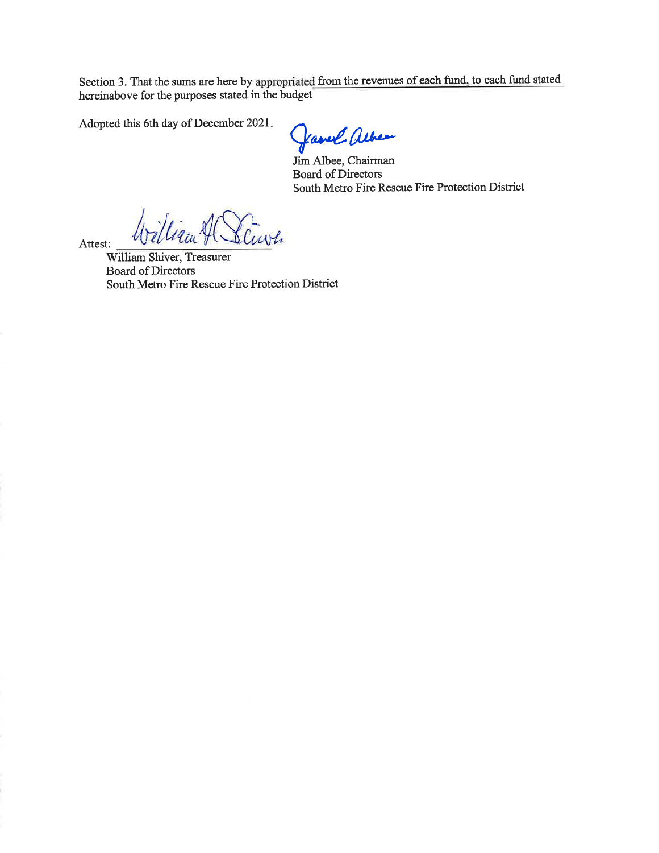Section 3. That the sums are here by appropriated from the revenues of each fund, to each fund stated hereinabove for the purposes stated in the budget

Adopted this 6th day of December 2021.

Garrel alber

Jim Albee, Chairman **Board of Directors** South Metro Fire Rescue Fire Protection District

ligen H Stavh

Attest:

William Shiver, Treasurer Board of Directors South Metro Fire Rescue Fire Protection District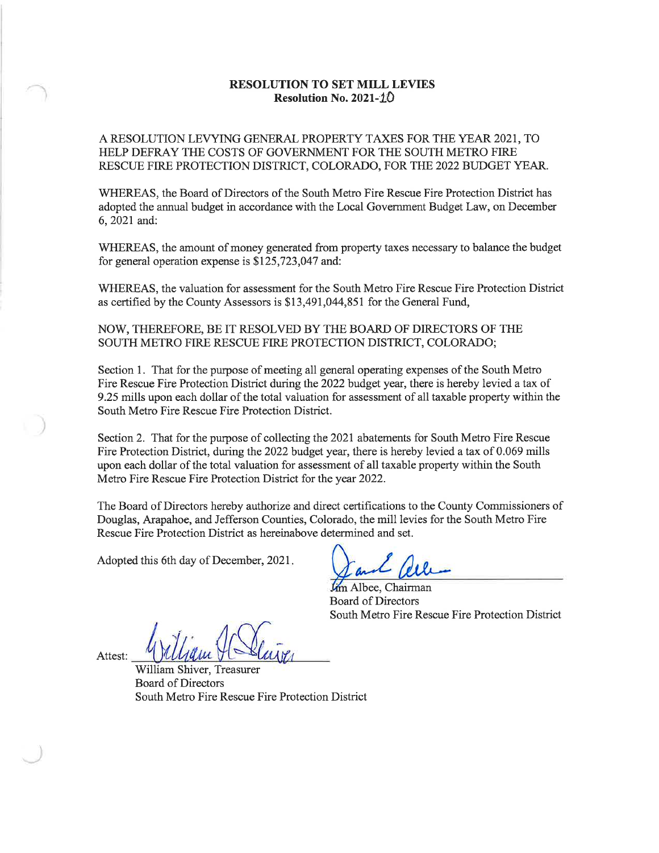#### **RESOLUTION TO SET MILL LEVIES Resolution No. 2021-10**

A RESOLUTION LEVYING GENERAL PROPERTY TAXES FOR THE YEAR 2021, TO HELP DEFRAY THE COSTS OF GOVERNMENT FOR THE SOUTH METRO FIRE RESCUE FIRE PROTECTION DISTRICT, COLORADO, FOR THE 2022 BUDGET YEAR.

WHEREAS, the Board of Directors of the South Metro Fire Rescue Fire Protection District has adopted the annual budget in accordance with the Local Government Budget Law, on December 6, 2021 and:

WHEREAS, the amount of money generated from property taxes necessary to balance the budget for general operation expense is  $$125,723,047$  and:

WHEREAS, the valuation for assessment for the South Metro Fire Rescue Fire Protection District as certified by the County Assessors is \$13,491,044,851 for the General Fund,

NOW, THEREFORE, BE IT RESOLVED BY THE BOARD OF DIRECTORS OF THE SOUTH METRO FIRE RESCUE FIRE PROTECTION DISTRICT, COLORADO;

Section 1. That for the purpose of meeting all general operating expenses of the South Metro Fire Rescue Fire Protection District during the 2022 budget year, there is hereby levied a tax of 9.25 mills upon each dollar of the total valuation for assessment of all taxable property within the South Metro Fire Rescue Fire Protection District.

Section 2. That for the purpose of collecting the 2021 abatements for South Metro Fire Rescue Fire Protection District, during the 2022 budget year, there is hereby levied a tax of 0.069 mills upon each dollar of the total valuation for assessment of all taxable property within the South Metro Fire Rescue Fire Protection District for the year 2022.

The Board of Directors hereby authorize and direct certifications to the County Commissioners of Douglas, Arapahoe, and Jefferson Counties, Colorado, the mill levies for the South Metro Fire Rescue Fire Protection District as hereinabove determined and set.

Adopted this 6th day of December, 2021.

*lim* Albee, Chairman **Board of Directors** South Metro Fire Rescue Fire Protection District

Attest:

William Shiver, Treasurer **Board of Directors** South Metro Fire Rescue Fire Protection District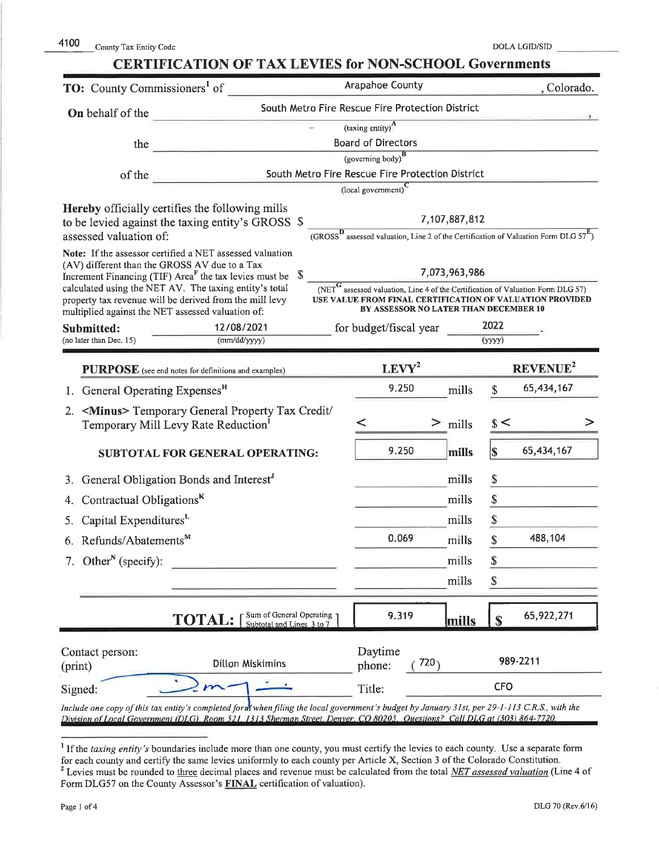# **CERTIFICATION OF TAX LEVIES for NON-SCHOOL Governments**

| <b>TO:</b> County Commissioners <sup>1</sup> of                                                                                                                                                                                                                                            | Arapahoe County                                                                                                                                                                                                           | , Colorado.                                                                                         |  |  |  |  |  |  |  |  |
|--------------------------------------------------------------------------------------------------------------------------------------------------------------------------------------------------------------------------------------------------------------------------------------------|---------------------------------------------------------------------------------------------------------------------------------------------------------------------------------------------------------------------------|-----------------------------------------------------------------------------------------------------|--|--|--|--|--|--|--|--|
| On behalf of the                                                                                                                                                                                                                                                                           | South Metro Fire Rescue Fire Protection District                                                                                                                                                                          |                                                                                                     |  |  |  |  |  |  |  |  |
|                                                                                                                                                                                                                                                                                            | (taxing entity) <sup>A</sup>                                                                                                                                                                                              |                                                                                                     |  |  |  |  |  |  |  |  |
| the                                                                                                                                                                                                                                                                                        | <b>Board of Directors</b>                                                                                                                                                                                                 |                                                                                                     |  |  |  |  |  |  |  |  |
|                                                                                                                                                                                                                                                                                            | (governing body) <sup>B</sup>                                                                                                                                                                                             |                                                                                                     |  |  |  |  |  |  |  |  |
| of the                                                                                                                                                                                                                                                                                     | South Metro Fire Rescue Fire Protection District<br>(local government) <sup>C</sup>                                                                                                                                       |                                                                                                     |  |  |  |  |  |  |  |  |
| Hereby officially certifies the following mills                                                                                                                                                                                                                                            | 7,107,887,812                                                                                                                                                                                                             |                                                                                                     |  |  |  |  |  |  |  |  |
| to be levied against the taxing entity's GROSS \$<br>assessed valuation of:                                                                                                                                                                                                                |                                                                                                                                                                                                                           | $(GROSS^D)$ assessed valuation, Line 2 of the Certification of Valuation Form DLG 57 <sup>E</sup> ) |  |  |  |  |  |  |  |  |
| Note: If the assessor certified a NET assessed valuation<br>(AV) different than the GROSS AV due to a Tax<br>Increment Financing (TIF) $AreaF$ the tax levies must be<br>calculated using the NET AV. The taxing entity's total<br>property tax revenue will be derived from the mill levy | 7,073,963,986<br>$\overline{\text{NET}}^G$ assessed valuation, Line 4 of the Certification of Valuation Form DLG 57)<br>USE VALUE FROM FINAL CERTIFICATION OF VALUATION PROVIDED<br>BY ASSESSOR NO LATER THAN DECEMBER 10 |                                                                                                     |  |  |  |  |  |  |  |  |
| multiplied against the NET assessed valuation of:                                                                                                                                                                                                                                          |                                                                                                                                                                                                                           | 2022                                                                                                |  |  |  |  |  |  |  |  |
| 12/08/2021<br>Submitted:<br>(mm/dd/yyyy)<br>(no later than Dec. 15)                                                                                                                                                                                                                        | for budget/fiscal year                                                                                                                                                                                                    | (yyyy)                                                                                              |  |  |  |  |  |  |  |  |
|                                                                                                                                                                                                                                                                                            |                                                                                                                                                                                                                           |                                                                                                     |  |  |  |  |  |  |  |  |
| PURPOSE (see end notes for definitions and examples)                                                                                                                                                                                                                                       | $LEVY^2$                                                                                                                                                                                                                  | REVENUE <sup>2</sup>                                                                                |  |  |  |  |  |  |  |  |
| 1. General Operating Expenses <sup>H</sup>                                                                                                                                                                                                                                                 | 9.250                                                                                                                                                                                                                     | 65,434,167<br>$\mathbb{S}$<br>mills                                                                 |  |  |  |  |  |  |  |  |
| 2. <minus> Temporary General Property Tax Credit/<br/>Temporary Mill Levy Rate Reduction<sup>1</sup></minus>                                                                                                                                                                               | ≺<br>$>$ mills                                                                                                                                                                                                            | $\frac{1}{2}$                                                                                       |  |  |  |  |  |  |  |  |
| SUBTOTAL FOR GENERAL OPERATING:                                                                                                                                                                                                                                                            | 9.250                                                                                                                                                                                                                     | 65,434,167<br> S <br>mills                                                                          |  |  |  |  |  |  |  |  |
| General Obligation Bonds and Interest <sup>"</sup><br>3.                                                                                                                                                                                                                                   |                                                                                                                                                                                                                           | \$<br>mills                                                                                         |  |  |  |  |  |  |  |  |
| Contractual Obligations <sup>K</sup><br>4.                                                                                                                                                                                                                                                 |                                                                                                                                                                                                                           | \$<br>mills                                                                                         |  |  |  |  |  |  |  |  |
| Capital Expenditures <sup>L</sup>                                                                                                                                                                                                                                                          |                                                                                                                                                                                                                           | \$<br>mills                                                                                         |  |  |  |  |  |  |  |  |
| 6. Refunds/Abatements <sup>M</sup>                                                                                                                                                                                                                                                         | 0.069                                                                                                                                                                                                                     | 488,104<br>\$<br>mills                                                                              |  |  |  |  |  |  |  |  |
| 7. Other <sup>N</sup> (specify):                                                                                                                                                                                                                                                           |                                                                                                                                                                                                                           | mills<br>\$                                                                                         |  |  |  |  |  |  |  |  |
|                                                                                                                                                                                                                                                                                            |                                                                                                                                                                                                                           | \$<br>mills                                                                                         |  |  |  |  |  |  |  |  |
| Sum of General Operating<br>Subtotal and Lines 3 to 7<br><b>TOTAL:</b>                                                                                                                                                                                                                     | 9.319                                                                                                                                                                                                                     | 65,922,271<br>$\mathbf{s}$<br>mills                                                                 |  |  |  |  |  |  |  |  |
| Contact person:<br><b>Dillon Miskimins</b><br>(print)                                                                                                                                                                                                                                      | Daytime<br>720 <sub>1</sub><br>phone:                                                                                                                                                                                     | 989-2211                                                                                            |  |  |  |  |  |  |  |  |
| Signed:                                                                                                                                                                                                                                                                                    | Title:                                                                                                                                                                                                                    | <b>CFO</b>                                                                                          |  |  |  |  |  |  |  |  |
| Include one copy of this tax entity's completed form when filing the local government's budget by January 31st, per 29-1-113 C.R.S., with the<br>Division of Local Government (DLG), Room 521, 1313 Sherman Street, Denver, CO 80203, Questions? Call DLG at (303) 864-7720                |                                                                                                                                                                                                                           |                                                                                                     |  |  |  |  |  |  |  |  |

 $1$  If the taxing entity's boundaries include more than one county, you must certify the levies to each county. Use a separate form for each county and certify the same levies uniformly to each county per Article X, Section 3 of the Colorado Constitution. <sup>2</sup> Levies must be rounded to three decimal places and revenue must be calculated from the total NET assessed valuation (Line 4 of Form DLG57 on the County Assessor's FINAL certification of valuation).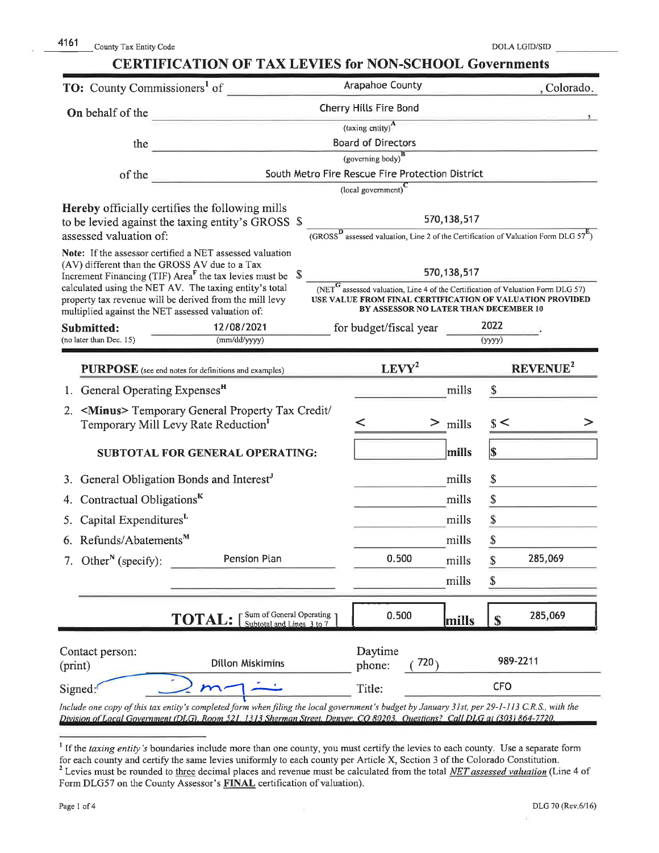# **CERTIFICATION OF TAX LEVIES for NON-SCHOOL Governments**

| <b>TO:</b> County Commissioners <sup>1</sup> of       |                                                                                                                                                                                                                                                                              |  | Arapahoe County                                   |               | , Colorado,                                                                                       |
|-------------------------------------------------------|------------------------------------------------------------------------------------------------------------------------------------------------------------------------------------------------------------------------------------------------------------------------------|--|---------------------------------------------------|---------------|---------------------------------------------------------------------------------------------------|
| On behalf of the                                      | <b>Cherry Hills Fire Bond</b>                                                                                                                                                                                                                                                |  |                                                   |               |                                                                                                   |
|                                                       | (taxing entity) <sup>A</sup>                                                                                                                                                                                                                                                 |  |                                                   |               |                                                                                                   |
| the                                                   | <b>Board of Directors</b>                                                                                                                                                                                                                                                    |  |                                                   |               |                                                                                                   |
|                                                       | (governing body) <sup>B</sup>                                                                                                                                                                                                                                                |  |                                                   |               |                                                                                                   |
| of the                                                |                                                                                                                                                                                                                                                                              |  | South Metro Fire Rescue Fire Protection District  |               |                                                                                                   |
|                                                       | <b>Hereby</b> officially certifies the following mills                                                                                                                                                                                                                       |  | $\overline{\text{(local government)}}^{\text{C}}$ |               |                                                                                                   |
|                                                       | to be levied against the taxing entity's GROSS \$                                                                                                                                                                                                                            |  |                                                   | 570, 138, 517 |                                                                                                   |
| assessed valuation of:                                |                                                                                                                                                                                                                                                                              |  |                                                   |               | $(GROSSD$ assessed valuation, Line 2 of the Certification of Valuation Form DLG 57 <sup>E</sup> ) |
|                                                       | Note: If the assessor certified a NET assessed valuation                                                                                                                                                                                                                     |  |                                                   |               |                                                                                                   |
| (AV) different than the GROSS AV due to a Tax         | Increment Financing (TIF) Area <sup><math>F</math></sup> the tax levies must be                                                                                                                                                                                              |  | 570, 138, 517                                     |               |                                                                                                   |
|                                                       | calculated using the NET AV. The taxing entity's total                                                                                                                                                                                                                       |  |                                                   |               | $(NETG$ assessed valuation, Line 4 of the Certification of Valuation Form DLG 57)                 |
| multiplied against the NET assessed valuation of:     | property tax revenue will be derived from the mill levy                                                                                                                                                                                                                      |  | BY ASSESSOR NO LATER THAN DECEMBER 10             |               | USE VALUE FROM FINAL CERTIFICATION OF VALUATION PROVIDED                                          |
| Submitted:                                            | 12/08/2021                                                                                                                                                                                                                                                                   |  | for budget/fiscal year                            |               | 2022                                                                                              |
| (no later than Dec. 15)                               | (mm/dd/yyyy)                                                                                                                                                                                                                                                                 |  |                                                   |               | (yyyy)                                                                                            |
|                                                       | PURPOSE (see end notes for definitions and examples)                                                                                                                                                                                                                         |  | $LEVY^2$                                          |               | REVENUE <sup>2</sup>                                                                              |
| 1. General Operating Expenses <sup>H</sup>            |                                                                                                                                                                                                                                                                              |  |                                                   | mills         | \$                                                                                                |
|                                                       | 2. <minus> Temporary General Property Tax Credit/<br/>Temporary Mill Levy Rate Reduction<sup>1</sup></minus>                                                                                                                                                                 |  |                                                   | $>$ mills     | s<                                                                                                |
|                                                       | <b>SUBTOTAL FOR GENERAL OPERATING:</b>                                                                                                                                                                                                                                       |  |                                                   | mills         | S)                                                                                                |
| 3. General Obligation Bonds and Interest <sup>J</sup> |                                                                                                                                                                                                                                                                              |  |                                                   | mills         | \$                                                                                                |
| Contractual Obligations <sup>K</sup>                  |                                                                                                                                                                                                                                                                              |  | mills                                             | \$            |                                                                                                   |
| Capital Expenditures <sup>L</sup>                     |                                                                                                                                                                                                                                                                              |  |                                                   | mills         |                                                                                                   |
| 6. Refunds/Abatements <sup>M</sup>                    |                                                                                                                                                                                                                                                                              |  |                                                   | mills         |                                                                                                   |
| 7. Other <sup>N</sup> (specify):                      | Pension Plan                                                                                                                                                                                                                                                                 |  | 0.500                                             | mills         | 285,069<br>\$                                                                                     |
|                                                       |                                                                                                                                                                                                                                                                              |  |                                                   | mills         | \$                                                                                                |
|                                                       | Sum of General Operating                                                                                                                                                                                                                                                     |  |                                                   |               |                                                                                                   |
|                                                       | <b>TOTAL:</b><br>Subtotal and Lines 3 to 7                                                                                                                                                                                                                                   |  | 0.500                                             | mills         | 285,069<br>$\mathbf S$                                                                            |
| Contact person:                                       |                                                                                                                                                                                                                                                                              |  | Daytime                                           |               |                                                                                                   |
| (print)                                               | <b>Dillon Miskimins</b>                                                                                                                                                                                                                                                      |  | phone:                                            | 720           | 989-2211                                                                                          |
| Signed:                                               |                                                                                                                                                                                                                                                                              |  | Title:                                            |               | <b>CFO</b>                                                                                        |
|                                                       | Include one copy of this tax entity's completed form when filing the local government's budget by January 31st, per 29-1-113 C.R.S., with the<br>Division of Local Government (DLG), Room 521, 1313 Sherman Street, Denver, CO 80203, Ouestions? Call DLG at (303) 864-7720. |  |                                                   |               |                                                                                                   |

×,

 $<sup>1</sup>$  If the taxing entity's boundaries include more than one county, you must certify the levies to each county. Use a separate form</sup> for each county and certify the same levies uniformly to each county per Article X, Section 3 of the Colorado Constitution.<br><sup>2</sup> Levies must be rounded to three decimal places and revenue must be calculated from the total Form DLG57 on the County Assessor's FINAL certification of valuation).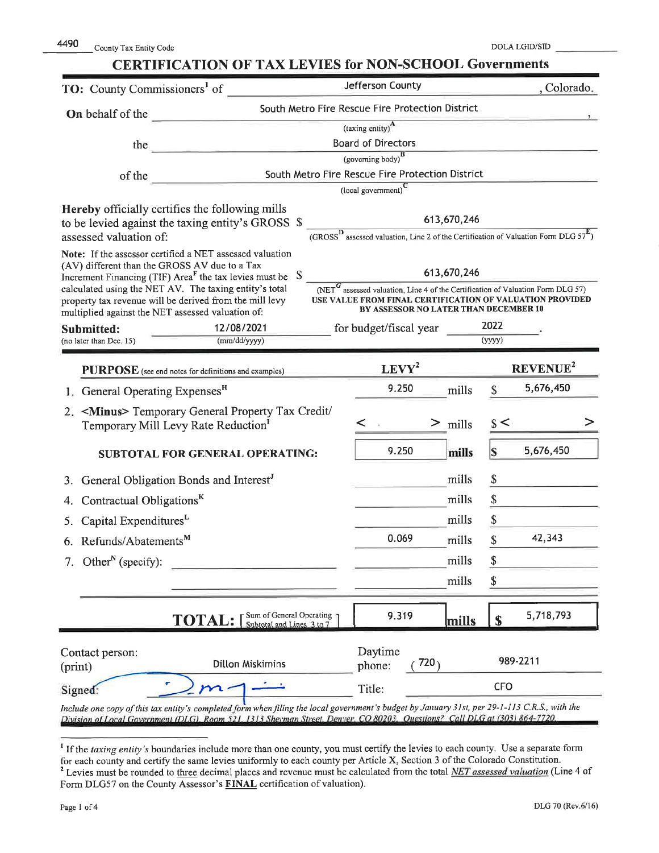| County Tax Entity Code |
|------------------------|
|                        |

# **CERTIFICATION OF TAX LEVIES for NON-SCHOOL Governments**

| <b>TO:</b> County Commissioners <sup>1</sup> of                                                                                                                                                                                                                                                                                                                                    |                                                                                                                                                                                                                                                                              | Jefferson County                                                                                  |                            | , Colorado.                                                                                                   |
|------------------------------------------------------------------------------------------------------------------------------------------------------------------------------------------------------------------------------------------------------------------------------------------------------------------------------------------------------------------------------------|------------------------------------------------------------------------------------------------------------------------------------------------------------------------------------------------------------------------------------------------------------------------------|---------------------------------------------------------------------------------------------------|----------------------------|---------------------------------------------------------------------------------------------------------------|
| On behalf of the                                                                                                                                                                                                                                                                                                                                                                   |                                                                                                                                                                                                                                                                              | South Metro Fire Rescue Fire Protection District                                                  |                            |                                                                                                               |
|                                                                                                                                                                                                                                                                                                                                                                                    | (taxing entity) <sup>A</sup>                                                                                                                                                                                                                                                 |                                                                                                   |                            |                                                                                                               |
| the                                                                                                                                                                                                                                                                                                                                                                                | <b>Board of Directors</b>                                                                                                                                                                                                                                                    |                                                                                                   |                            |                                                                                                               |
|                                                                                                                                                                                                                                                                                                                                                                                    | (governing body) <sup>B</sup>                                                                                                                                                                                                                                                |                                                                                                   |                            |                                                                                                               |
| of the                                                                                                                                                                                                                                                                                                                                                                             | South Metro Fire Rescue Fire Protection District<br>(local government) $\overline{c}$                                                                                                                                                                                        |                                                                                                   |                            |                                                                                                               |
| <b>Hereby</b> officially certifies the following mills<br>to be levied against the taxing entity's GROSS \$<br>assessed valuation of:<br>Note: If the assessor certified a NET assessed valuation<br>(AV) different than the GROSS AV due to a Tax<br>Increment Financing (TIF) Area <sup>F</sup> the tax levies must be<br>calculated using the NET AV. The taxing entity's total |                                                                                                                                                                                                                                                                              | $(NET^G)$ assessed valuation, Line 4 of the Certification of Valuation Form DLG 57)               | 613,670,246<br>613,670,246 | (GROSS <sup>D</sup> assessed valuation, Line 2 of the Certification of Valuation Form DLG $57^{\mathbf{E}}$ ) |
| property tax revenue will be derived from the mill levy<br>multiplied against the NET assessed valuation of:                                                                                                                                                                                                                                                                       |                                                                                                                                                                                                                                                                              | USE VALUE FROM FINAL CERTIFICATION OF VALUATION PROVIDED<br>BY ASSESSOR NO LATER THAN DECEMBER 10 |                            |                                                                                                               |
| Submitted:<br>(no later than Dec. 15)                                                                                                                                                                                                                                                                                                                                              | 12/08/2021<br>(mm/dd/yyyy)                                                                                                                                                                                                                                                   | for budget/fiscal year                                                                            |                            | 2022<br>(yyyy)                                                                                                |
| PURPOSE (see end notes for definitions and examples)                                                                                                                                                                                                                                                                                                                               |                                                                                                                                                                                                                                                                              | $LEVY^2$                                                                                          |                            | <b>REVENUE<sup>2</sup></b>                                                                                    |
| 1. General Operating Expenses <sup>H</sup>                                                                                                                                                                                                                                                                                                                                         |                                                                                                                                                                                                                                                                              | 9.250                                                                                             | mills                      | 5,676,450<br>\$                                                                                               |
| Temporary Mill Levy Rate Reduction <sup>1</sup>                                                                                                                                                                                                                                                                                                                                    | 2. <minus> Temporary General Property Tax Credit/</minus>                                                                                                                                                                                                                    | < ≈                                                                                               | $>$ mills                  | s <                                                                                                           |
|                                                                                                                                                                                                                                                                                                                                                                                    | SUBTOTAL FOR GENERAL OPERATING:                                                                                                                                                                                                                                              | 9.250                                                                                             | mills                      | 5,676,450<br>l\$                                                                                              |
| 3. General Obligation Bonds and Interest <sup>J</sup>                                                                                                                                                                                                                                                                                                                              |                                                                                                                                                                                                                                                                              |                                                                                                   | mills                      |                                                                                                               |
| Contractual Obligations <sup>K</sup>                                                                                                                                                                                                                                                                                                                                               |                                                                                                                                                                                                                                                                              |                                                                                                   | mills                      |                                                                                                               |
| Capital Expenditures <sup>L</sup>                                                                                                                                                                                                                                                                                                                                                  |                                                                                                                                                                                                                                                                              |                                                                                                   | mills                      | \$                                                                                                            |
| 6. Refunds/Abatements <sup>M</sup>                                                                                                                                                                                                                                                                                                                                                 |                                                                                                                                                                                                                                                                              | 0.069                                                                                             | mills                      | 42,343<br>\$                                                                                                  |
| 7. Other <sup>N</sup> (specify):                                                                                                                                                                                                                                                                                                                                                   |                                                                                                                                                                                                                                                                              |                                                                                                   | mills                      | \$                                                                                                            |
|                                                                                                                                                                                                                                                                                                                                                                                    |                                                                                                                                                                                                                                                                              |                                                                                                   | mills                      | \$                                                                                                            |
|                                                                                                                                                                                                                                                                                                                                                                                    | Sum of General Operating<br><b>TOTAL:</b><br>Subtotal and Lines 3 to 7                                                                                                                                                                                                       | 9.319                                                                                             | mills                      | 5,718,793<br>S                                                                                                |
| Contact person:<br>(print)                                                                                                                                                                                                                                                                                                                                                         | Dillon Miskimins                                                                                                                                                                                                                                                             | Daytime<br>720<br>phone:                                                                          |                            | 989-2211                                                                                                      |
| Signed:                                                                                                                                                                                                                                                                                                                                                                            |                                                                                                                                                                                                                                                                              | Title:                                                                                            |                            | <b>CFO</b>                                                                                                    |
|                                                                                                                                                                                                                                                                                                                                                                                    | Include one copy of this tax entity's completed form when filing the local government's budget by January 31st, per 29-1-113 C.R.S., with the<br>Division of Local Government (DLG), Room 521, 1313 Sherman Street, Denver, CO 80203, Ouestions? Call DLG at (303) 864-7720. |                                                                                                   |                            |                                                                                                               |

 $<sup>1</sup>$  If the taxing entity's boundaries include more than one county, you must certify the levies to each county. Use a separate form</sup> for each county and certify the same levies uniformly to each county per Article X, Section 3 of the Colorado Constitution. <sup>2</sup> Levies must be rounded to three decimal places and revenue must be calculated from the total NET assessed valuation (Line 4 of Form DLG57 on the County Assessor's FINAL certification of valuation).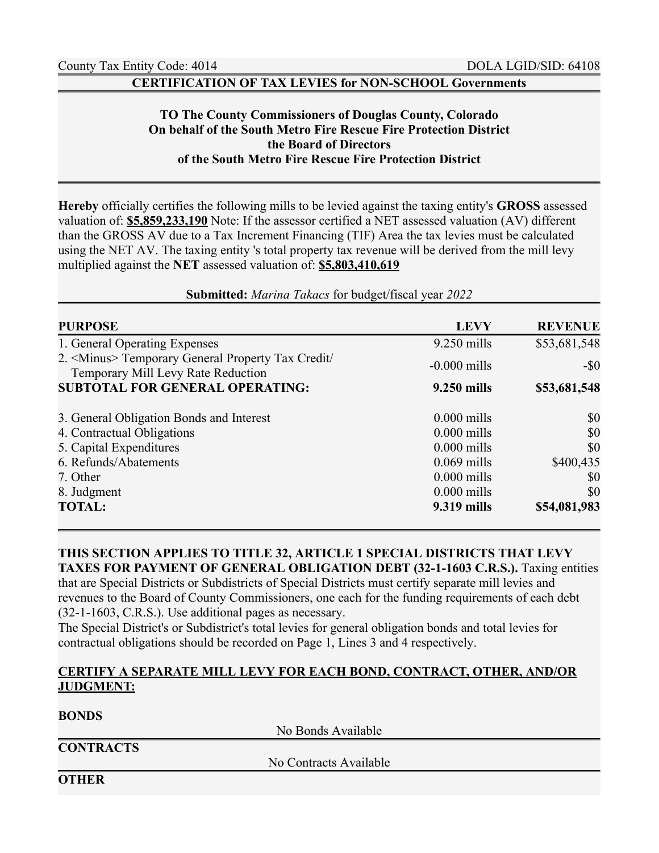**BONDS** 

#### **CERTIFICATION OF TAX LEVIES for NON-SCHOOL Governments**

# **TO The County Commissioners of Douglas County, Colorado On behalf of the South Metro Fire Rescue Fire Protection District the Board of Directors of the South Metro Fire Rescue Fire Protection District**

**Hereby** officially certifies the following mills to be levied against the taxing entity's **GROSS** assessed valuation of: **\$5,859,233,190** Note: If the assessor certified a NET assessed valuation (AV) different than the GROSS AV due to a Tax Increment Financing (TIF) Area the tax levies must be calculated using the NET AV. The taxing entity 's total property tax revenue will be derived from the mill levy multiplied against the **NET** assessed valuation of: **\$5,803,410,619**

#### **Submitted:** *Marina Takacs* for budget/fiscal year *2022*

| <b>PURPOSE</b>                                                                                   | <b>LEVY</b>    | <b>REVENUE</b> |
|--------------------------------------------------------------------------------------------------|----------------|----------------|
| 1. General Operating Expenses                                                                    | $9.250$ mills  | \$53,681,548   |
| 2. <minus> Temporary General Property Tax Credit/<br/>Temporary Mill Levy Rate Reduction</minus> | $-0.000$ mills | $-$ \$0        |
| <b>SUBTOTAL FOR GENERAL OPERATING:</b>                                                           | 9.250 mills    | \$53,681,548   |
| 3. General Obligation Bonds and Interest                                                         | $0.000$ mills  | \$0            |
| 4. Contractual Obligations                                                                       | $0.000$ mills  | \$0            |
| 5. Capital Expenditures                                                                          | $0.000$ mills  | \$0            |
| 6. Refunds/Abatements                                                                            | $0.069$ mills  | \$400,435      |
| 7. Other                                                                                         | $0.000$ mills  | \$0            |
| 8. Judgment                                                                                      | $0.000$ mills  | \$0            |
| <b>TOTAL:</b>                                                                                    | 9.319 mills    | \$54,081,983   |

# **THIS SECTION APPLIES TO TITLE 32, ARTICLE 1 SPECIAL DISTRICTS THAT LEVY TAXES FOR PAYMENT OF GENERAL OBLIGATION DEBT (32-1-1603 C.R.S.).** Taxing entities

that are Special Districts or Subdistricts of Special Districts must certify separate mill levies and revenues to the Board of County Commissioners, one each for the funding requirements of each debt (32-1-1603, C.R.S.). Use additional pages as necessary.

The Special District's or Subdistrict's total levies for general obligation bonds and total levies for contractual obligations should be recorded on Page 1, Lines 3 and 4 respectively.

### **CERTIFY A SEPARATE MILL LEVY FOR EACH BOND, CONTRACT, OTHER, AND/OR JUDGMENT:**

| DUNDS            |                        |  |
|------------------|------------------------|--|
|                  | No Bonds Available     |  |
| <b>CONTRACTS</b> |                        |  |
|                  | No Contracts Available |  |
| <b>OTHER</b>     |                        |  |